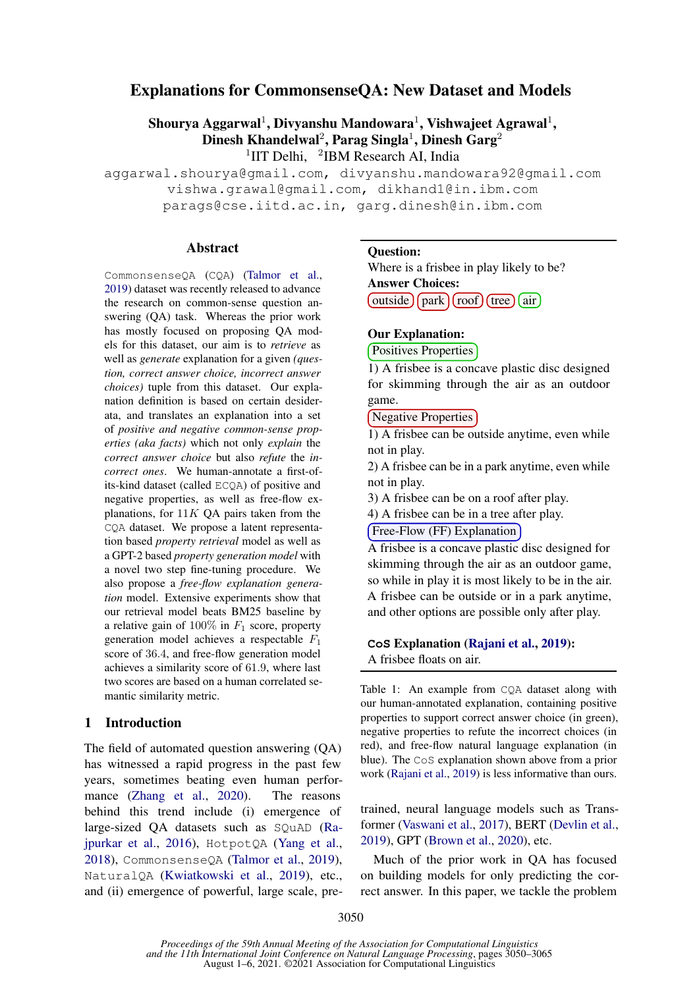# Explanations for CommonsenseQA: New Dataset and Models

Shourya Aggarwal $^1$ , Divyanshu Mandowara $^1$ , Vishwajeet Agrawal $^1$ , Dinesh Khandelwal<sup>2</sup>, Parag Singla<sup>1</sup>, Dinesh Garg<sup>2</sup>

<sup>1</sup>IIT Delhi, <sup>2</sup>IBM Research AI, India

aggarwal.shourya@gmail.com, divyanshu.mandowara92@gmail.com vishwa.grawal@gmail.com, dikhand1@in.ibm.com parags@cse.iitd.ac.in, garg.dinesh@in.ibm.com

#### **Abstract**

CommonsenseQA (CQA) [\(Talmor et al.,](#page-10-0) [2019\)](#page-10-0) dataset was recently released to advance the research on common-sense question answering (QA) task. Whereas the prior work has mostly focused on proposing QA models for this dataset, our aim is to *retrieve* as well as *generate* explanation for a given *(question, correct answer choice, incorrect answer choices)* tuple from this dataset. Our explanation definition is based on certain desiderata, and translates an explanation into a set of *positive and negative common-sense properties (aka facts)* which not only *explain* the *correct answer choice* but also *refute* the *incorrect ones*. We human-annotate a first-ofits-kind dataset (called ECQA) of positive and negative properties, as well as free-flow explanations, for  $11K$  OA pairs taken from the CQA dataset. We propose a latent representation based *property retrieval* model as well as a GPT-2 based *property generation model* with a novel two step fine-tuning procedure. We also propose a *free-flow explanation generation* model. Extensive experiments show that our retrieval model beats BM25 baseline by a relative gain of  $100\%$  in  $F_1$  score, property generation model achieves a respectable  $F_1$ score of 36.4, and free-flow generation model achieves a similarity score of 61.9, where last two scores are based on a human correlated semantic similarity metric.

### 1 Introduction

The field of automated question answering (QA) has witnessed a rapid progress in the past few years, sometimes beating even human perfor-mance [\(Zhang et al.,](#page-11-0) [2020\)](#page-11-0). The reasons behind this trend include (i) emergence of large-sized QA datasets such as SQuAD [\(Ra](#page-10-1)[jpurkar et al.,](#page-10-1) [2016\)](#page-10-1), HotpotQA [\(Yang et al.,](#page-11-1) [2018\)](#page-11-1), CommonsenseQA [\(Talmor et al.,](#page-10-0) [2019\)](#page-10-0), NaturalQA [\(Kwiatkowski et al.,](#page-10-2) [2019\)](#page-10-2), etc., and (ii) emergence of powerful, large scale, pre-

#### <span id="page-0-0"></span>Question:

Where is a frisbee in play likely to be? Answer Choices:  $($ outside $)$  $($ park $)$  $($ roof $)$  $($ tree $)$  $($ air $)$ 

#### Our Explanation:

Positives Properties

1) A frisbee is a concave plastic disc designed for skimming through the air as an outdoor game.

Negative Properties

1) A frisbee can be outside anytime, even while not in play.

2) A frisbee can be in a park anytime, even while not in play.

3) A frisbee can be on a roof after play.

4) A frisbee can be in a tree after play.

Free-Flow (FF) Explanation

A frisbee is a concave plastic disc designed for skimming through the air as an outdoor game, so while in play it is most likely to be in the air. A frisbee can be outside or in a park anytime, and other options are possible only after play.

**CoS** Explanation [\(Rajani et al.,](#page-10-3) [2019\)](#page-10-3): A frisbee floats on air.

Table 1: An example from CQA dataset along with our human-annotated explanation, containing positive properties to support correct answer choice (in green), negative properties to refute the incorrect choices (in red), and free-flow natural language explanation (in blue). The CoS explanation shown above from a prior work [\(Rajani et al.,](#page-10-3) [2019\)](#page-10-3) is less informative than ours.

trained, neural language models such as Transformer [\(Vaswani et al.,](#page-11-2) [2017\)](#page-11-2), BERT [\(Devlin et al.,](#page-9-0) [2019\)](#page-9-0), GPT [\(Brown et al.,](#page-9-1) [2020\)](#page-9-1), etc.

Much of the prior work in QA has focused on building models for only predicting the correct answer. In this paper, we tackle the problem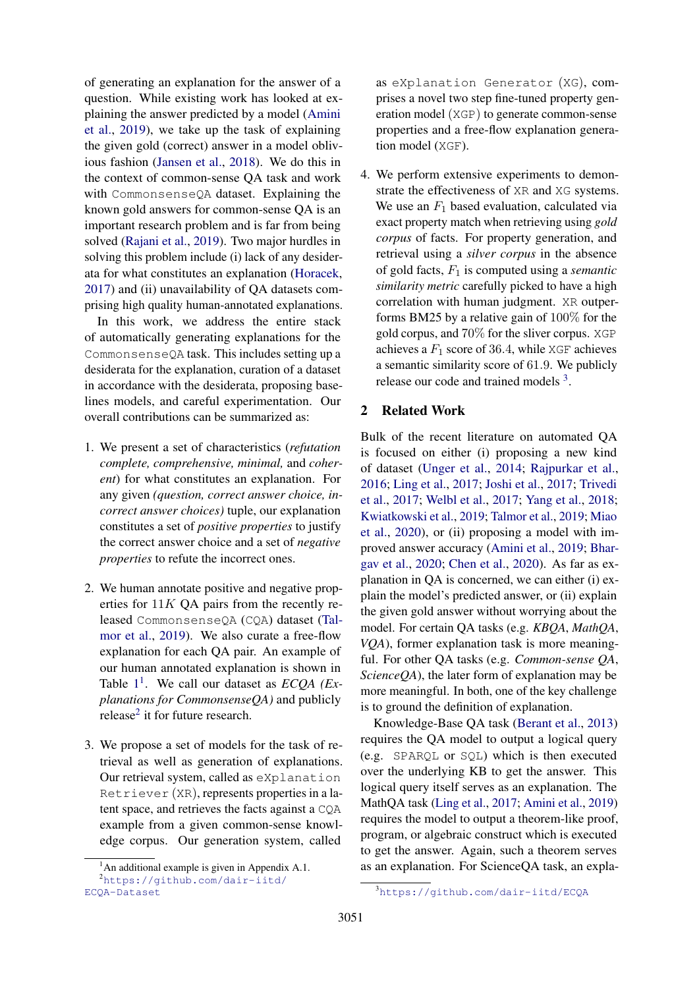of generating an explanation for the answer of a question. While existing work has looked at explaining the answer predicted by a model [\(Amini](#page-9-2) [et al.,](#page-9-2) [2019\)](#page-9-2), we take up the task of explaining the given gold (correct) answer in a model oblivious fashion [\(Jansen et al.,](#page-10-4) [2018\)](#page-10-4). We do this in the context of common-sense QA task and work with CommonsenseQA dataset. Explaining the known gold answers for common-sense QA is an important research problem and is far from being solved [\(Rajani et al.,](#page-10-3) [2019\)](#page-10-3). Two major hurdles in solving this problem include (i) lack of any desiderata for what constitutes an explanation [\(Horacek,](#page-10-5) [2017\)](#page-10-5) and (ii) unavailability of QA datasets comprising high quality human-annotated explanations.

In this work, we address the entire stack of automatically generating explanations for the CommonsenseQA task. This includes setting up a desiderata for the explanation, curation of a dataset in accordance with the desiderata, proposing baselines models, and careful experimentation. Our overall contributions can be summarized as:

- 1. We present a set of characteristics (*refutation complete, comprehensive, minimal,* and *coherent*) for what constitutes an explanation. For any given *(question, correct answer choice, incorrect answer choices)* tuple, our explanation constitutes a set of *positive properties* to justify the correct answer choice and a set of *negative properties* to refute the incorrect ones.
- 2. We human annotate positive and negative properties for  $11K$  QA pairs from the recently released CommonsenseQA (CQA) dataset [\(Tal](#page-10-0)[mor et al.,](#page-10-0) [2019\)](#page-10-0). We also curate a free-flow explanation for each QA pair. An example of our human annotated explanation is shown in Table [1](#page-0-0) [1](#page-1-0) . We call our dataset as *ECQA (Explanations for CommonsenseQA)* and publicly release<sup>[2](#page-1-1)</sup> it for future research.
- 3. We propose a set of models for the task of retrieval as well as generation of explanations. Our retrieval system, called as eXplanation Retriever (XR), represents properties in a latent space, and retrieves the facts against a CQA example from a given common-sense knowledge corpus. Our generation system, called

as eXplanation Generator (XG), comprises a novel two step fine-tuned property generation model (XGP) to generate common-sense properties and a free-flow explanation generation model (XGF).

4. We perform extensive experiments to demonstrate the effectiveness of XR and XG systems. We use an  $F_1$  based evaluation, calculated via exact property match when retrieving using *gold corpus* of facts. For property generation, and retrieval using a *silver corpus* in the absence of gold facts, F<sup>1</sup> is computed using a *semantic similarity metric* carefully picked to have a high correlation with human judgment. XR outperforms BM25 by a relative gain of 100% for the gold corpus, and 70% for the sliver corpus. XGP achieves a  $F_1$  score of 36.4, while XGF achieves a semantic similarity score of 61.9. We publicly release our code and trained models <sup>[3](#page-1-2)</sup>.

# 2 Related Work

Bulk of the recent literature on automated QA is focused on either (i) proposing a new kind of dataset [\(Unger et al.,](#page-10-6) [2014;](#page-10-6) [Rajpurkar et al.,](#page-10-1) [2016;](#page-10-1) [Ling et al.,](#page-10-7) [2017;](#page-10-7) [Joshi et al.,](#page-10-8) [2017;](#page-10-8) [Trivedi](#page-10-9) [et al.,](#page-10-9) [2017;](#page-10-9) [Welbl et al.,](#page-11-3) [2017;](#page-11-3) [Yang et al.,](#page-11-1) [2018;](#page-11-1) [Kwiatkowski et al.,](#page-10-2) [2019;](#page-10-2) [Talmor et al.,](#page-10-0) [2019;](#page-10-0) [Miao](#page-10-10) [et al.,](#page-10-10) [2020\)](#page-10-10), or (ii) proposing a model with improved answer accuracy [\(Amini et al.,](#page-9-2) [2019;](#page-9-2) [Bhar](#page-9-3)[gav et al.,](#page-9-3) [2020;](#page-9-3) [Chen et al.,](#page-9-4) [2020\)](#page-9-4). As far as explanation in QA is concerned, we can either (i) explain the model's predicted answer, or (ii) explain the given gold answer without worrying about the model. For certain QA tasks (e.g. *KBQA*, *MathQA*, *VQA*), former explanation task is more meaningful. For other QA tasks (e.g. *Common-sense QA*, *ScienceQA*), the later form of explanation may be more meaningful. In both, one of the key challenge is to ground the definition of explanation.

Knowledge-Base QA task [\(Berant et al.,](#page-9-5) [2013\)](#page-9-5) requires the QA model to output a logical query (e.g. SPARQL or SQL) which is then executed over the underlying KB to get the answer. This logical query itself serves as an explanation. The MathQA task [\(Ling et al.,](#page-10-7) [2017;](#page-10-7) [Amini et al.,](#page-9-2) [2019\)](#page-9-2) requires the model to output a theorem-like proof, program, or algebraic construct which is executed to get the answer. Again, such a theorem serves as an explanation. For ScienceQA task, an expla-

<span id="page-1-1"></span><span id="page-1-0"></span> $<sup>1</sup>$ An additional example is given in Appendix A.1.</sup>

<sup>2</sup>[https://github.com/dair-iitd/](https://github.com/dair-iitd/ECQA-Dataset) [ECQA-Dataset](https://github.com/dair-iitd/ECQA-Dataset)

<span id="page-1-2"></span><sup>3</sup><https://github.com/dair-iitd/ECQA>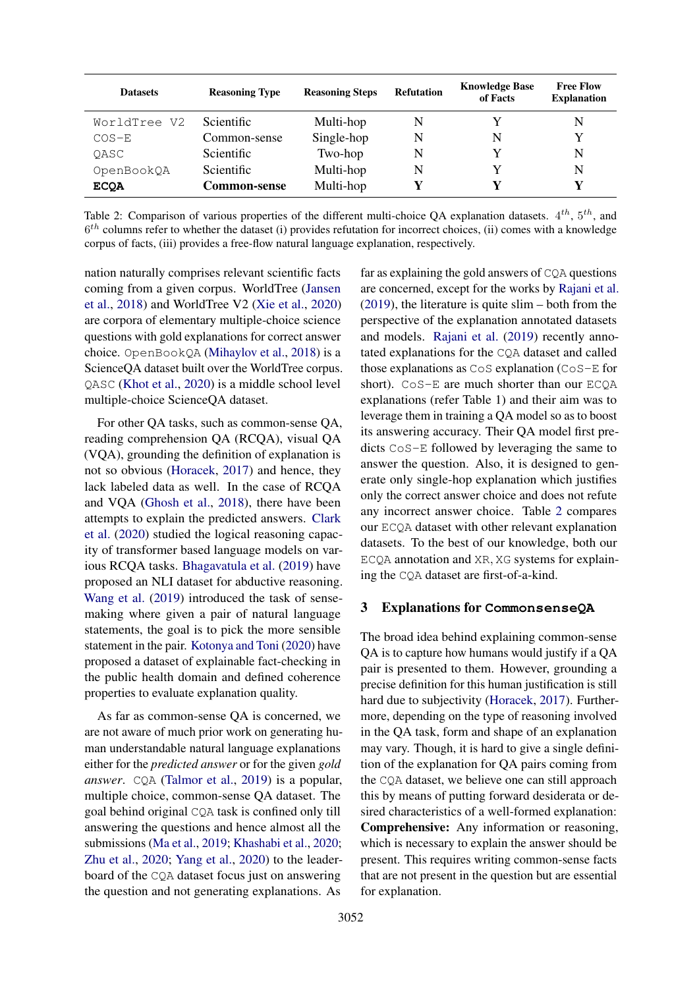<span id="page-2-0"></span>

| <b>Datasets</b> | <b>Reasoning Type</b> | <b>Reasoning Steps</b> | <b>Refutation</b> | <b>Knowledge Base</b><br>of Facts | <b>Free Flow</b><br><b>Explanation</b> |
|-----------------|-----------------------|------------------------|-------------------|-----------------------------------|----------------------------------------|
| WorldTree V2    | Scientific.           | Multi-hop              | N                 |                                   | N                                      |
| $COS-E$         | Common-sense          | Single-hop             | N                 | N                                 | v                                      |
| OASC            | <b>Scientific</b>     | Two-hop                | N                 | v                                 | N                                      |
| OpenBookQA      | <b>Scientific</b>     | Multi-hop              | N                 |                                   | N                                      |
| <b>ECOA</b>     | <b>Common-sense</b>   | Multi-hop              |                   |                                   | v                                      |

Table 2: Comparison of various properties of the different multi-choice QA explanation datasets.  $4^{th}$ ,  $5^{th}$ , and  $6<sup>th</sup>$  columns refer to whether the dataset (i) provides refutation for incorrect choices, (ii) comes with a knowledge corpus of facts, (iii) provides a free-flow natural language explanation, respectively.

nation naturally comprises relevant scientific facts coming from a given corpus. WorldTree [\(Jansen](#page-10-4) [et al.,](#page-10-4) [2018\)](#page-10-4) and WorldTree V2 [\(Xie et al.,](#page-11-4) [2020\)](#page-11-4) are corpora of elementary multiple-choice science questions with gold explanations for correct answer choice. OpenBookQA [\(Mihaylov et al.,](#page-10-11) [2018\)](#page-10-11) is a ScienceQA dataset built over the WorldTree corpus. QASC [\(Khot et al.,](#page-10-12) [2020\)](#page-10-12) is a middle school level multiple-choice ScienceQA dataset.

For other QA tasks, such as common-sense QA, reading comprehension QA (RCQA), visual QA (VQA), grounding the definition of explanation is not so obvious [\(Horacek,](#page-10-5) [2017\)](#page-10-5) and hence, they lack labeled data as well. In the case of RCQA and VQA [\(Ghosh et al.,](#page-9-6) [2018\)](#page-9-6), there have been attempts to explain the predicted answers. [Clark](#page-9-7) [et al.](#page-9-7) [\(2020\)](#page-9-7) studied the logical reasoning capacity of transformer based language models on various RCQA tasks. [Bhagavatula et al.](#page-9-8) [\(2019\)](#page-9-8) have proposed an NLI dataset for abductive reasoning. [Wang et al.](#page-11-5) [\(2019\)](#page-11-5) introduced the task of sensemaking where given a pair of natural language statements, the goal is to pick the more sensible statement in the pair. [Kotonya and Toni](#page-10-13) [\(2020\)](#page-10-13) have proposed a dataset of explainable fact-checking in the public health domain and defined coherence properties to evaluate explanation quality.

As far as common-sense QA is concerned, we are not aware of much prior work on generating human understandable natural language explanations either for the *predicted answer* or for the given *gold answer*. CQA [\(Talmor et al.,](#page-10-0) [2019\)](#page-10-0) is a popular, multiple choice, common-sense QA dataset. The goal behind original CQA task is confined only till answering the questions and hence almost all the submissions [\(Ma et al.,](#page-10-14) [2019;](#page-10-14) [Khashabi et al.,](#page-10-15) [2020;](#page-10-15) [Zhu et al.,](#page-11-6) [2020;](#page-11-6) [Yang et al.,](#page-11-7) [2020\)](#page-11-7) to the leaderboard of the CQA dataset focus just on answering the question and not generating explanations. As

far as explaining the gold answers of CQA questions are concerned, except for the works by [Rajani et al.](#page-10-3) [\(2019\)](#page-10-3), the literature is quite slim – both from the perspective of the explanation annotated datasets and models. [Rajani et al.](#page-10-3) [\(2019\)](#page-10-3) recently annotated explanations for the CQA dataset and called those explanations as CoS explanation (CoS-E for short). CoS-E are much shorter than our ECQA explanations (refer Table 1) and their aim was to leverage them in training a QA model so as to boost its answering accuracy. Their QA model first predicts CoS-E followed by leveraging the same to answer the question. Also, it is designed to generate only single-hop explanation which justifies only the correct answer choice and does not refute any incorrect answer choice. Table [2](#page-2-0) compares our ECQA dataset with other relevant explanation datasets. To the best of our knowledge, both our ECQA annotation and XR, XG systems for explaining the CQA dataset are first-of-a-kind.

#### 3 Explanations for **CommonsenseQA**

The broad idea behind explaining common-sense QA is to capture how humans would justify if a QA pair is presented to them. However, grounding a precise definition for this human justification is still hard due to subjectivity [\(Horacek,](#page-10-5) [2017\)](#page-10-5). Furthermore, depending on the type of reasoning involved in the QA task, form and shape of an explanation may vary. Though, it is hard to give a single definition of the explanation for QA pairs coming from the CQA dataset, we believe one can still approach this by means of putting forward desiderata or desired characteristics of a well-formed explanation: Comprehensive: Any information or reasoning, which is necessary to explain the answer should be present. This requires writing common-sense facts that are not present in the question but are essential for explanation.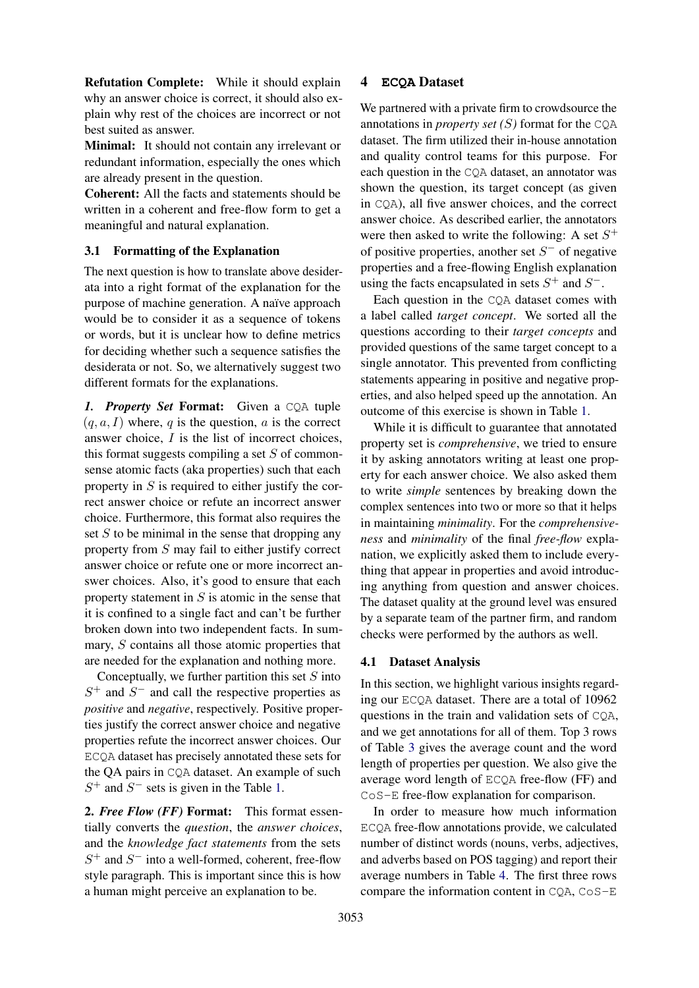Refutation Complete: While it should explain why an answer choice is correct, it should also explain why rest of the choices are incorrect or not best suited as answer.

Minimal: It should not contain any irrelevant or redundant information, especially the ones which are already present in the question.

Coherent: All the facts and statements should be written in a coherent and free-flow form to get a meaningful and natural explanation.

### 3.1 Formatting of the Explanation

The next question is how to translate above desiderata into a right format of the explanation for the purpose of machine generation. A naïve approach would be to consider it as a sequence of tokens or words, but it is unclear how to define metrics for deciding whether such a sequence satisfies the desiderata or not. So, we alternatively suggest two different formats for the explanations.

*1. Property Set* Format: Given a CQA tuple  $(q, a, I)$  where, q is the question, a is the correct answer choice, I is the list of incorrect choices, this format suggests compiling a set  $S$  of commonsense atomic facts (aka properties) such that each property in  $S$  is required to either justify the correct answer choice or refute an incorrect answer choice. Furthermore, this format also requires the set  $S$  to be minimal in the sense that dropping any property from S may fail to either justify correct answer choice or refute one or more incorrect answer choices. Also, it's good to ensure that each property statement in  $S$  is atomic in the sense that it is confined to a single fact and can't be further broken down into two independent facts. In summary, S contains all those atomic properties that are needed for the explanation and nothing more.

Conceptually, we further partition this set  $S$  into  $S^+$  and  $S^-$  and call the respective properties as *positive* and *negative*, respectively. Positive properties justify the correct answer choice and negative properties refute the incorrect answer choices. Our ECQA dataset has precisely annotated these sets for the QA pairs in CQA dataset. An example of such  $S^+$  and  $S^-$  sets is given in the Table [1.](#page-0-0)

2. *Free Flow (FF)* Format: This format essentially converts the *question*, the *answer choices*, and the *knowledge fact statements* from the sets  $S^+$  and  $S^-$  into a well-formed, coherent, free-flow style paragraph. This is important since this is how a human might perceive an explanation to be.

### 4 **ECQA** Dataset

We partnered with a private firm to crowdsource the annotations in *property set*  $(S)$  format for the COA dataset. The firm utilized their in-house annotation and quality control teams for this purpose. For each question in the CQA dataset, an annotator was shown the question, its target concept (as given in CQA), all five answer choices, and the correct answer choice. As described earlier, the annotators were then asked to write the following: A set  $S^+$ of positive properties, another set  $S^-$  of negative properties and a free-flowing English explanation using the facts encapsulated in sets  $S^+$  and  $S^-$ .

Each question in the CQA dataset comes with a label called *target concept*. We sorted all the questions according to their *target concepts* and provided questions of the same target concept to a single annotator. This prevented from conflicting statements appearing in positive and negative properties, and also helped speed up the annotation. An outcome of this exercise is shown in Table [1.](#page-0-0)

While it is difficult to guarantee that annotated property set is *comprehensive*, we tried to ensure it by asking annotators writing at least one property for each answer choice. We also asked them to write *simple* sentences by breaking down the complex sentences into two or more so that it helps in maintaining *minimality*. For the *comprehensiveness* and *minimality* of the final *free-flow* explanation, we explicitly asked them to include everything that appear in properties and avoid introducing anything from question and answer choices. The dataset quality at the ground level was ensured by a separate team of the partner firm, and random checks were performed by the authors as well.

#### 4.1 Dataset Analysis

In this section, we highlight various insights regarding our ECQA dataset. There are a total of 10962 questions in the train and validation sets of CQA, and we get annotations for all of them. Top 3 rows of Table [3](#page-4-0) gives the average count and the word length of properties per question. We also give the average word length of ECQA free-flow (FF) and CoS-E free-flow explanation for comparison.

In order to measure how much information ECQA free-flow annotations provide, we calculated number of distinct words (nouns, verbs, adjectives, and adverbs based on POS tagging) and report their average numbers in Table [4.](#page-4-1) The first three rows compare the information content in CQA, CoS-E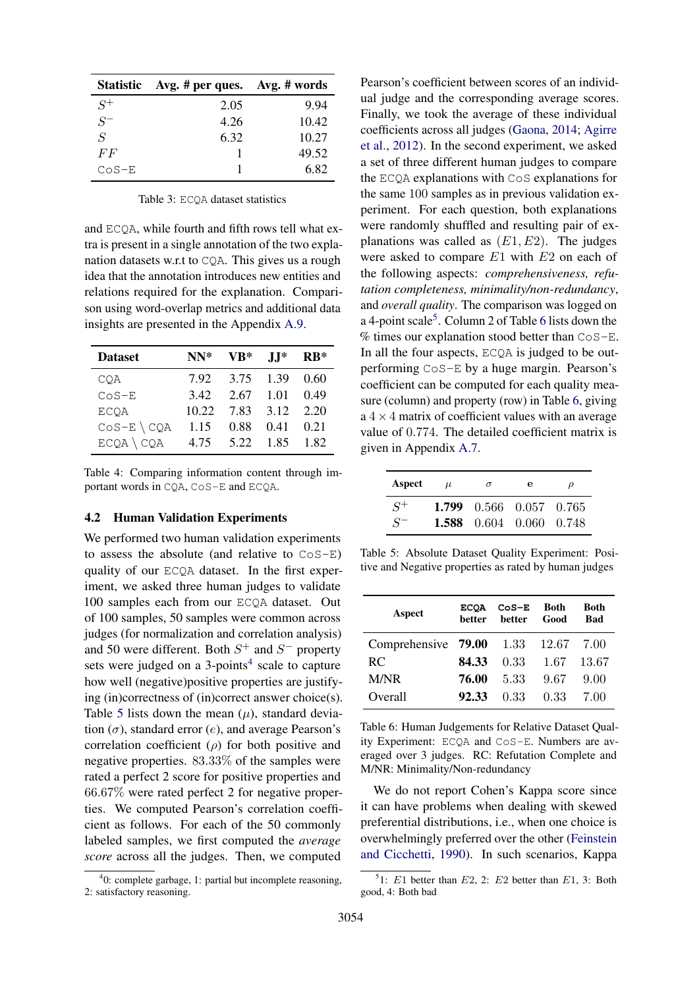<span id="page-4-0"></span>

|                | Statistic Avg. # per ques. Avg. # words |       |
|----------------|-----------------------------------------|-------|
| $S^+$          | 2.05                                    | 9.94  |
| $S^-$          | 4.26                                    | 10.42 |
| $\overline{S}$ | 6.32                                    | 10.27 |
| FF             |                                         | 49.52 |
| $CoS-E$        |                                         | 6.82  |

Table 3: ECQA dataset statistics

and ECQA, while fourth and fifth rows tell what extra is present in a single annotation of the two explanation datasets w.r.t to CQA. This gives us a rough idea that the annotation introduces new entities and relations required for the explanation. Comparison using word-overlap metrics and additional data insights are presented in the Appendix [A.9.](#page-14-0)

<span id="page-4-1"></span>

| <b>Dataset</b>    | $NN^*$ | $VB^*$ $JI^*$ $RB^*$      |  |
|-------------------|--------|---------------------------|--|
| COA               |        | 7.92 3.75 1.39 0.60       |  |
| $CoS-E$           |        | 3.42 2.67 1.01 0.49       |  |
| ECQA              |        | 10.22 7.83 3.12 2.20      |  |
| $CoS - E \ (CQA)$ |        | 1.15  0.88  0.41  0.21    |  |
| $ECQA \ CQA$      |        | 4.75   5.22   1.85   1.82 |  |

Table 4: Comparing information content through important words in CQA, CoS-E and ECQA.

#### 4.2 Human Validation Experiments

We performed two human validation experiments to assess the absolute (and relative to CoS-E) quality of our ECQA dataset. In the first experiment, we asked three human judges to validate 100 samples each from our ECQA dataset. Out of 100 samples, 50 samples were common across judges (for normalization and correlation analysis) and 50 were different. Both  $S^+$  and  $S^-$  property sets were judged on a  $3$ -points<sup>[4](#page-4-2)</sup> scale to capture how well (negative)positive properties are justifying (in)correctness of (in)correct answer choice(s). Table [5](#page-4-3) lists down the mean  $(\mu)$ , standard deviation  $(\sigma)$ , standard error  $(e)$ , and average Pearson's correlation coefficient  $(\rho)$  for both positive and negative properties. 83.33% of the samples were rated a perfect 2 score for positive properties and 66.67% were rated perfect 2 for negative properties. We computed Pearson's correlation coefficient as follows. For each of the 50 commonly labeled samples, we first computed the *average score* across all the judges. Then, we computed

Pearson's coefficient between scores of an individual judge and the corresponding average scores. Finally, we took the average of these individual coefficients across all judges [\(Gaona,](#page-9-9) [2014;](#page-9-9) [Agirre](#page-9-10) [et al.,](#page-9-10) [2012\)](#page-9-10). In the second experiment, we asked a set of three different human judges to compare the ECQA explanations with CoS explanations for the same 100 samples as in previous validation experiment. For each question, both explanations were randomly shuffled and resulting pair of explanations was called as  $(E1, E2)$ . The judges were asked to compare E1 with E2 on each of the following aspects: *comprehensiveness, refutation completeness, minimality/non-redundancy*, and *overall quality*. The comparison was logged on a 4-point scale<sup>[5](#page-4-4)</sup>. Column 2 of Table [6](#page-4-5) lists down the % times our explanation stood better than CoS-E. In all the four aspects, ECQA is judged to be outperforming CoS-E by a huge margin. Pearson's coefficient can be computed for each quality measure (column) and property (row) in Table [6,](#page-4-5) giving  $a \, 4 \times 4$  matrix of coefficient values with an average value of 0.774. The detailed coefficient matrix is given in Appendix [A.7.](#page-14-1)

<span id="page-4-3"></span>

| Aspect | $\mu$ | $\sigma$ | е                              | $\mathcal{D}$ |
|--------|-------|----------|--------------------------------|---------------|
| $S^+$  |       |          | 1.799 0.566 0.057 0.765        |               |
| $S^-$  |       |          | <b>1.588</b> 0.604 0.060 0.748 |               |

Table 5: Absolute Dataset Quality Experiment: Positive and Negative properties as rated by human judges

<span id="page-4-5"></span>

| <b>Aspect</b>                         | <b>ECOA</b><br>better | $CoS-E$<br>better Good | <b>Both</b> | Both<br>Bad |
|---------------------------------------|-----------------------|------------------------|-------------|-------------|
| Comprehensive <b>79.00</b> 1.33 12.67 |                       |                        |             | 7.00        |
| <b>RC</b>                             | 84.33                 | 0.33                   | -1.67       | 13.67       |
| M/NR                                  | 76.00                 | 5.33                   | 9.67        | 9.00        |
| Overall                               | 92.33                 | $0.33 -$               | 0.33        | 7.00        |

Table 6: Human Judgements for Relative Dataset Quality Experiment: ECQA and CoS-E. Numbers are averaged over 3 judges. RC: Refutation Complete and M/NR: Minimality/Non-redundancy

We do not report Cohen's Kappa score since it can have problems when dealing with skewed preferential distributions, i.e., when one choice is overwhelmingly preferred over the other [\(Feinstein](#page-9-11) [and Cicchetti,](#page-9-11) [1990\)](#page-9-11). In such scenarios, Kappa

<span id="page-4-2"></span><sup>4</sup> 0: complete garbage, 1: partial but incomplete reasoning, 2: satisfactory reasoning.

<span id="page-4-4"></span><sup>&</sup>lt;sup>5</sup>1: E1 better than E2, 2: E2 better than E1, 3: Both good, 4: Both bad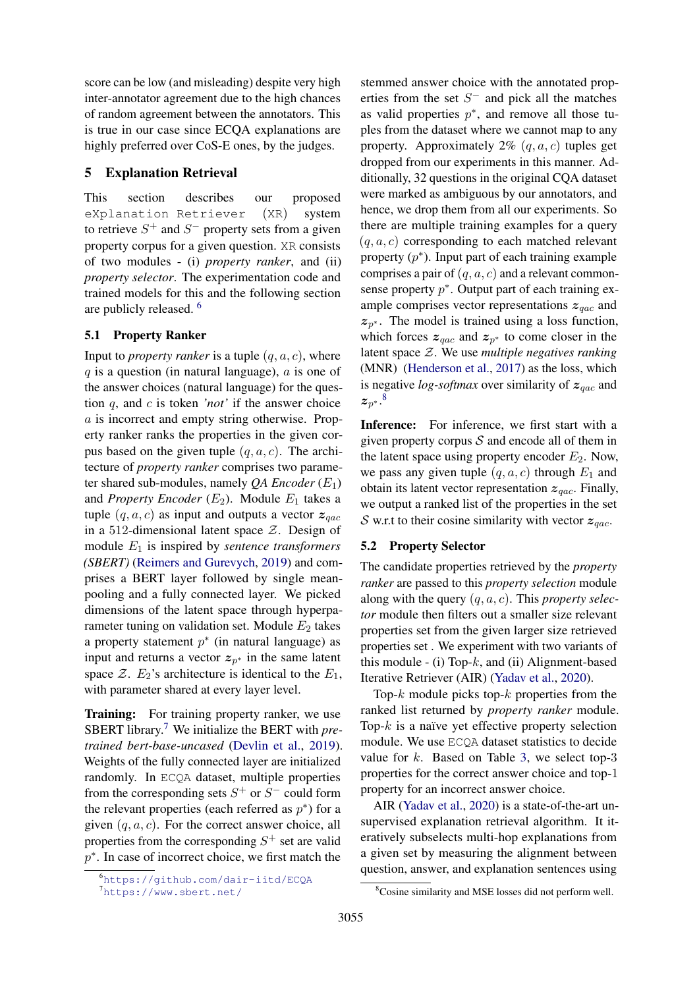score can be low (and misleading) despite very high inter-annotator agreement due to the high chances of random agreement between the annotators. This is true in our case since ECQA explanations are highly preferred over CoS-E ones, by the judges.

# <span id="page-5-3"></span>5 Explanation Retrieval

This section describes our proposed eXplanation Retriever (XR) system to retrieve  $S^+$  and  $S^-$  property sets from a given property corpus for a given question. XR consists of two modules - (i) *property ranker*, and (ii) *property selector*. The experimentation code and trained models for this and the following section are publicly released. [6](#page-5-0)

# 5.1 Property Ranker

Input to *property ranker* is a tuple  $(q, a, c)$ , where  $q$  is a question (in natural language),  $\alpha$  is one of the answer choices (natural language) for the question q, and c is token *'not'* if the answer choice a is incorrect and empty string otherwise. Property ranker ranks the properties in the given corpus based on the given tuple  $(q, a, c)$ . The architecture of *property ranker* comprises two parameter shared sub-modules, namely  $QA$  *Encoder*  $(E_1)$ and *Property Encoder*  $(E_2)$ . Module  $E_1$  takes a tuple  $(q, a, c)$  as input and outputs a vector  $z_{qac}$ in a 512-dimensional latent space  $Z$ . Design of module E<sup>1</sup> is inspired by *sentence transformers (SBERT)* [\(Reimers and Gurevych,](#page-10-16) [2019\)](#page-10-16) and comprises a BERT layer followed by single meanpooling and a fully connected layer. We picked dimensions of the latent space through hyperparameter tuning on validation set. Module  $E_2$  takes a property statement  $p^*$  (in natural language) as input and returns a vector  $z_{p^*}$  in the same latent space  $\mathcal{Z}$ .  $E_2$ 's architecture is identical to the  $E_1$ , with parameter shared at every layer level.

Training: For training property ranker, we use SBERT library.[7](#page-5-1) We initialize the BERT with *pretrained bert-base-uncased* [\(Devlin et al.,](#page-9-0) [2019\)](#page-9-0). Weights of the fully connected layer are initialized randomly. In ECQA dataset, multiple properties from the corresponding sets  $S^+$  or  $S^-$  could form the relevant properties (each referred as  $p^*$ ) for a given  $(q, a, c)$ . For the correct answer choice, all properties from the corresponding  $S^+$  set are valid p<sup>\*</sup>. In case of incorrect choice, we first match the

stemmed answer choice with the annotated properties from the set  $S^-$  and pick all the matches as valid properties  $p^*$ , and remove all those tuples from the dataset where we cannot map to any property. Approximately 2%  $(q, a, c)$  tuples get dropped from our experiments in this manner. Additionally, 32 questions in the original CQA dataset were marked as ambiguous by our annotators, and hence, we drop them from all our experiments. So there are multiple training examples for a query  $(q, a, c)$  corresponding to each matched relevant property  $(p^*)$ . Input part of each training example comprises a pair of  $(q, a, c)$  and a relevant commonsense property  $p^*$ . Output part of each training example comprises vector representations  $z_{\text{vac}}$  and  $z_{p^*}$ . The model is trained using a loss function, which forces  $z_{qac}$  and  $z_{p*}$  to come closer in the latent space Z. We use *multiple negatives ranking* (MNR) [\(Henderson et al.,](#page-10-17) [2017\)](#page-10-17) as the loss, which is negative *log-softmax* over similarity of  $z_{qac}$  and  $\boldsymbol{z}_{p^*}.^8$  $\boldsymbol{z}_{p^*}.^8$ 

Inference: For inference, we first start with a given property corpus  $S$  and encode all of them in the latent space using property encoder  $E_2$ . Now, we pass any given tuple  $(q, a, c)$  through  $E_1$  and obtain its latent vector representation  $z_{qac}$ . Finally, we output a ranked list of the properties in the set S w.r.t to their cosine similarity with vector  $z_{\text{qac}}$ .

# 5.2 Property Selector

The candidate properties retrieved by the *property ranker* are passed to this *property selection* module along with the query (q, a, c). This *property selector* module then filters out a smaller size relevant properties set from the given larger size retrieved properties set . We experiment with two variants of this module  $-$  (i) Top- $k$ , and (ii) Alignment-based Iterative Retriever (AIR) [\(Yadav et al.,](#page-11-8) [2020\)](#page-11-8).

Top- $k$  module picks top- $k$  properties from the ranked list returned by *property ranker* module. Top- $k$  is a naïve yet effective property selection module. We use ECQA dataset statistics to decide value for  $k$ . Based on Table [3,](#page-4-0) we select top-3 properties for the correct answer choice and top-1 property for an incorrect answer choice.

AIR [\(Yadav et al.,](#page-11-8) [2020\)](#page-11-8) is a state-of-the-art unsupervised explanation retrieval algorithm. It iteratively subselects multi-hop explanations from a given set by measuring the alignment between question, answer, and explanation sentences using

<span id="page-5-0"></span><sup>6</sup><https://github.com/dair-iitd/ECQA>

<span id="page-5-1"></span><sup>7</sup><https://www.sbert.net/>

<span id="page-5-2"></span><sup>8</sup>Cosine similarity and MSE losses did not perform well.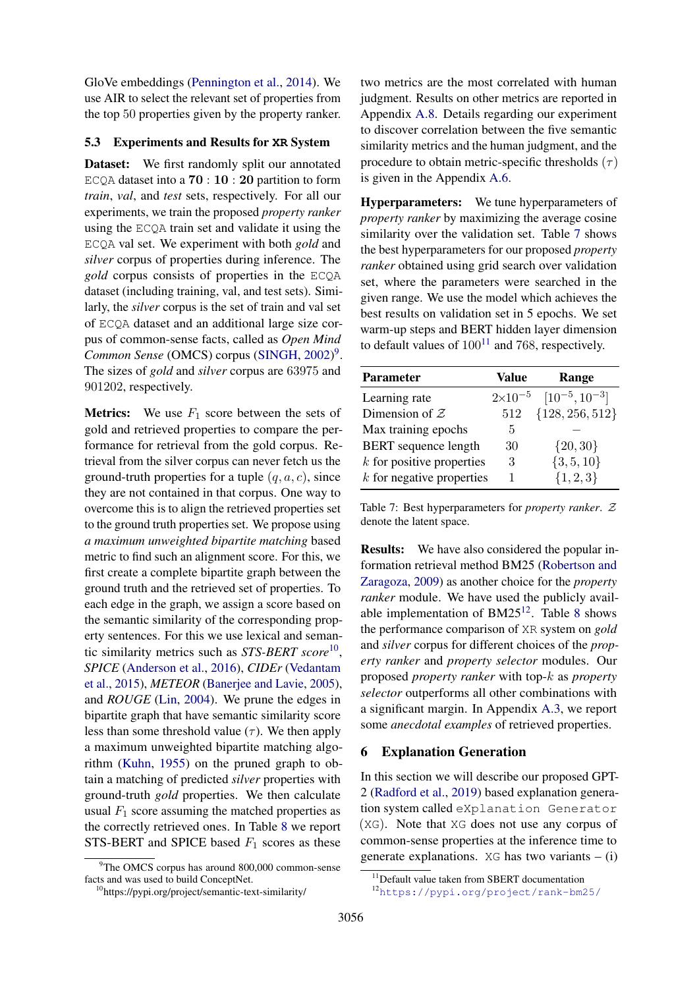GloVe embeddings [\(Pennington et al.,](#page-10-18) [2014\)](#page-10-18). We use AIR to select the relevant set of properties from the top 50 properties given by the property ranker.

#### 5.3 Experiments and Results for **XR** System

Dataset: We first randomly split our annotated ECQA dataset into a  $70:10:20$  partition to form *train*, *val*, and *test* sets, respectively. For all our experiments, we train the proposed *property ranker* using the ECQA train set and validate it using the ECQA val set. We experiment with both *gold* and *silver* corpus of properties during inference. The *gold* corpus consists of properties in the ECQA dataset (including training, val, and test sets). Similarly, the *silver* corpus is the set of train and val set of ECQA dataset and an additional large size corpus of common-sense facts, called as *Open Mind Common Sense* (OMCS) corpus [\(SINGH,](#page-10-19) [2002\)](#page-10-19) [9](#page-6-0) . The sizes of *gold* and *silver* corpus are 63975 and 901202, respectively.

**Metrics:** We use  $F_1$  score between the sets of gold and retrieved properties to compare the performance for retrieval from the gold corpus. Retrieval from the silver corpus can never fetch us the ground-truth properties for a tuple  $(q, a, c)$ , since they are not contained in that corpus. One way to overcome this is to align the retrieved properties set to the ground truth properties set. We propose using *a maximum unweighted bipartite matching* based metric to find such an alignment score. For this, we first create a complete bipartite graph between the ground truth and the retrieved set of properties. To each edge in the graph, we assign a score based on the semantic similarity of the corresponding property sentences. For this we use lexical and semantic similarity metrics such as *STS-BERT score*[10](#page-6-1) , *SPICE* [\(Anderson et al.,](#page-9-12) [2016\)](#page-9-12), *CIDEr* [\(Vedantam](#page-11-9) [et al.,](#page-11-9) [2015\)](#page-11-9), *METEOR* [\(Banerjee and Lavie,](#page-9-13) [2005\)](#page-9-13), and *ROUGE* [\(Lin,](#page-10-20) [2004\)](#page-10-20). We prune the edges in bipartite graph that have semantic similarity score less than some threshold value  $(\tau)$ . We then apply a maximum unweighted bipartite matching algorithm [\(Kuhn,](#page-10-21) [1955\)](#page-10-21) on the pruned graph to obtain a matching of predicted *silver* properties with ground-truth *gold* properties. We then calculate usual  $F_1$  score assuming the matched properties as the correctly retrieved ones. In Table [8](#page-7-0) we report STS-BERT and SPICE based  $F_1$  scores as these

two metrics are the most correlated with human judgment. Results on other metrics are reported in Appendix [A.8.](#page-14-2) Details regarding our experiment to discover correlation between the five semantic similarity metrics and the human judgment, and the procedure to obtain metric-specific thresholds  $(\tau)$ is given in the Appendix [A.6.](#page-13-0)

Hyperparameters: We tune hyperparameters of *property ranker* by maximizing the average cosine similarity over the validation set. Table [7](#page-6-2) shows the best hyperparameters for our proposed *property ranker* obtained using grid search over validation set, where the parameters were searched in the given range. We use the model which achieves the best results on validation set in 5 epochs. We set warm-up steps and BERT hidden layer dimension to default values of  $100^{11}$  $100^{11}$  $100^{11}$  and 768, respectively.

<span id="page-6-2"></span>

| <b>Parameter</b>            | Value | Range                                 |
|-----------------------------|-------|---------------------------------------|
| Learning rate               |       | $2\times10^{-5}$ $[10^{-5}, 10^{-3}]$ |
| Dimension of $Z$            | 512   | ${128, 256, 512}$                     |
| Max training epochs         | 5     |                                       |
| <b>BERT</b> sequence length | 30    | $\{20, 30\}$                          |
| $k$ for positive properties | 3     | $\{3, 5, 10\}$                        |
| $k$ for negative properties |       | $\{1, 2, 3\}$                         |

Table 7: Best hyperparameters for *property ranker*. Z denote the latent space.

Results: We have also considered the popular information retrieval method BM25 [\(Robertson and](#page-10-22) [Zaragoza,](#page-10-22) [2009\)](#page-10-22) as another choice for the *property ranker* module. We have used the publicly available implementation of  $BM25^{12}$  $BM25^{12}$  $BM25^{12}$ . Table [8](#page-7-0) shows the performance comparison of XR system on *gold* and *silver* corpus for different choices of the *property ranker* and *property selector* modules. Our proposed *property ranker* with top-k as *property selector* outperforms all other combinations with a significant margin. In Appendix [A.3,](#page-12-0) we report some *anecdotal examples* of retrieved properties.

#### 6 Explanation Generation

In this section we will describe our proposed GPT-2 [\(Radford et al.,](#page-10-23) [2019\)](#page-10-23) based explanation generation system called eXplanation Generator (XG). Note that XG does not use any corpus of common-sense properties at the inference time to generate explanations.  $XG$  has two variants – (i)

<span id="page-6-0"></span> $9^9$ The OMCS corpus has around 800,000 common-sense facts and was used to build ConceptNet.

<span id="page-6-1"></span><sup>10</sup>https://pypi.org/project/semantic-text-similarity/

<span id="page-6-3"></span><sup>&</sup>lt;sup>11</sup>Default value taken from SBERT documentation

<span id="page-6-4"></span><sup>12</sup><https://pypi.org/project/rank-bm25/>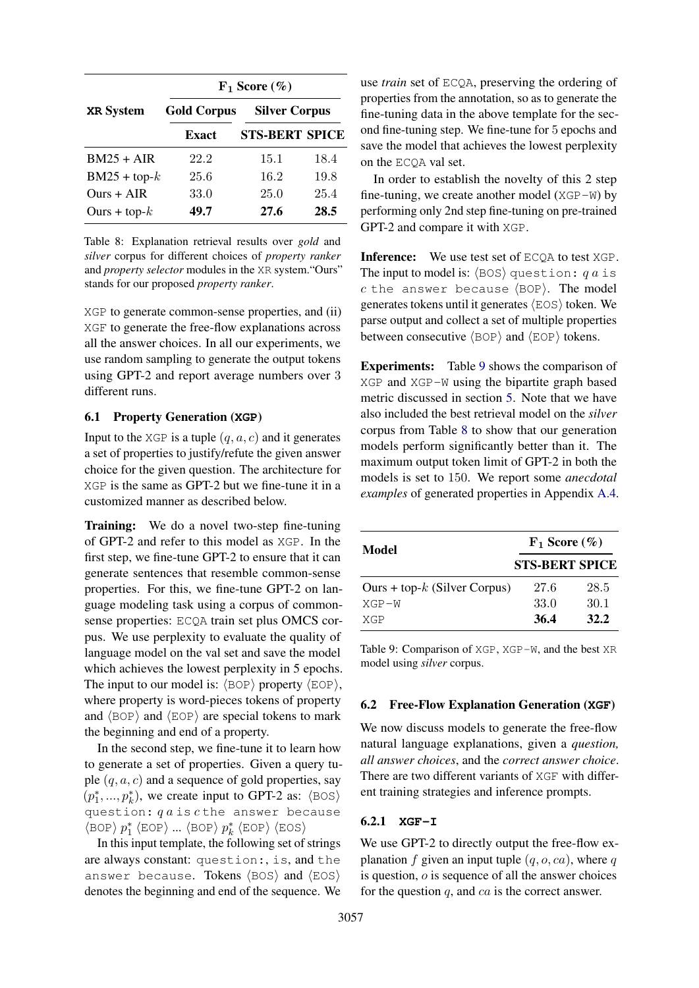<span id="page-7-0"></span>

|                  |                    | $F_1$ Score $(\% )$   |      |
|------------------|--------------------|-----------------------|------|
| <b>XR</b> System | <b>Gold Corpus</b> | <b>Silver Corpus</b>  |      |
|                  | <b>Exact</b>       | <b>STS-BERT SPICE</b> |      |
| $BM25 + AIR$     | 22.2               | 15.1                  | 18.4 |
| $BM25 + top-k$   | 25.6               | 16.2                  | 19.8 |
| $Ours + AIR$     | 33.0               | 25.0                  | 25.4 |
| Ours + top- $k$  | 49.7               | 27.6                  | 28.5 |

Table 8: Explanation retrieval results over *gold* and *silver* corpus for different choices of *property ranker* and *property selector* modules in the XR system."Ours" stands for our proposed *property ranker*.

XGP to generate common-sense properties, and (ii) XGF to generate the free-flow explanations across all the answer choices. In all our experiments, we use random sampling to generate the output tokens using GPT-2 and report average numbers over 3 different runs.

### <span id="page-7-2"></span>6.1 Property Generation (**XGP**)

Input to the XGP is a tuple  $(q, a, c)$  and it generates a set of properties to justify/refute the given answer choice for the given question. The architecture for XGP is the same as GPT-2 but we fine-tune it in a customized manner as described below.

Training: We do a novel two-step fine-tuning of GPT-2 and refer to this model as XGP. In the first step, we fine-tune GPT-2 to ensure that it can generate sentences that resemble common-sense properties. For this, we fine-tune GPT-2 on language modeling task using a corpus of commonsense properties: ECQA train set plus OMCS corpus. We use perplexity to evaluate the quality of language model on the val set and save the model which achieves the lowest perplexity in 5 epochs. The input to our model is:  $\langle BOP \rangle$  property  $\langle EOP \rangle$ , where property is word-pieces tokens of property and  $\langle BOP \rangle$  and  $\langle EOP \rangle$  are special tokens to mark the beginning and end of a property.

In the second step, we fine-tune it to learn how to generate a set of properties. Given a query tuple  $(q, a, c)$  and a sequence of gold properties, say  $(p_1^*,..., p_k^*)$ , we create input to GPT-2 as:  $\langle \text{BOS} \rangle$ question:  $qa$  is  $c$  the answer because  $\rho_1^*$  (EOP) ...  $\langle$  BOP)  $p_k^*$   $\langle$  EOP)  $\langle$  EOS)

In this input template, the following set of strings are always constant: question:, is, and the answer because. Tokens  $\langle BOS \rangle$  and  $\langle EOS \rangle$ denotes the beginning and end of the sequence. We

use *train* set of ECQA, preserving the ordering of properties from the annotation, so as to generate the fine-tuning data in the above template for the second fine-tuning step. We fine-tune for 5 epochs and save the model that achieves the lowest perplexity on the ECQA val set.

In order to establish the novelty of this 2 step fine-tuning, we create another model  $(XGP-W)$  by performing only 2nd step fine-tuning on pre-trained GPT-2 and compare it with XGP.

Inference: We use test set of ECQA to test XGP. The input to model is:  $\langle BOS \rangle$  question: q a is  $c$  the answer because  $\langle BOP \rangle$ . The model generates tokens until it generates  $\langle EOS \rangle$  token. We parse output and collect a set of multiple properties between consecutive  $\langle BOP \rangle$  and  $\langle EOP \rangle$  tokens.

Experiments: Table [9](#page-7-1) shows the comparison of XGP and XGP-W using the bipartite graph based metric discussed in section [5.](#page-5-3) Note that we have also included the best retrieval model on the *silver* corpus from Table [8](#page-7-0) to show that our generation models perform significantly better than it. The maximum output token limit of GPT-2 in both the models is set to 150. We report some *anecdotal examples* of generated properties in Appendix [A.4.](#page-13-1)

<span id="page-7-1"></span>

| Model                           | $F_1$ Score $(\% )$   |      |  |
|---------------------------------|-----------------------|------|--|
|                                 | <b>STS-BERT SPICE</b> |      |  |
| Ours + top- $k$ (Silver Corpus) | 27.6                  | 28.5 |  |
| $XGP-W$                         | 33.0                  | 30.1 |  |
| XGP                             | 36.4                  | 32.2 |  |

Table 9: Comparison of XGP, XGP-W, and the best XR model using *silver* corpus.

#### 6.2 Free-Flow Explanation Generation (**XGF**)

We now discuss models to generate the free-flow natural language explanations, given a *question, all answer choices*, and the *correct answer choice*. There are two different variants of XGF with different training strategies and inference prompts.

## 6.2.1 **XGF-I**

We use GPT-2 to directly output the free-flow explanation f given an input tuple  $(q, o, ca)$ , where q is question,  $\sigma$  is sequence of all the answer choices for the question  $q$ , and  $ca$  is the correct answer.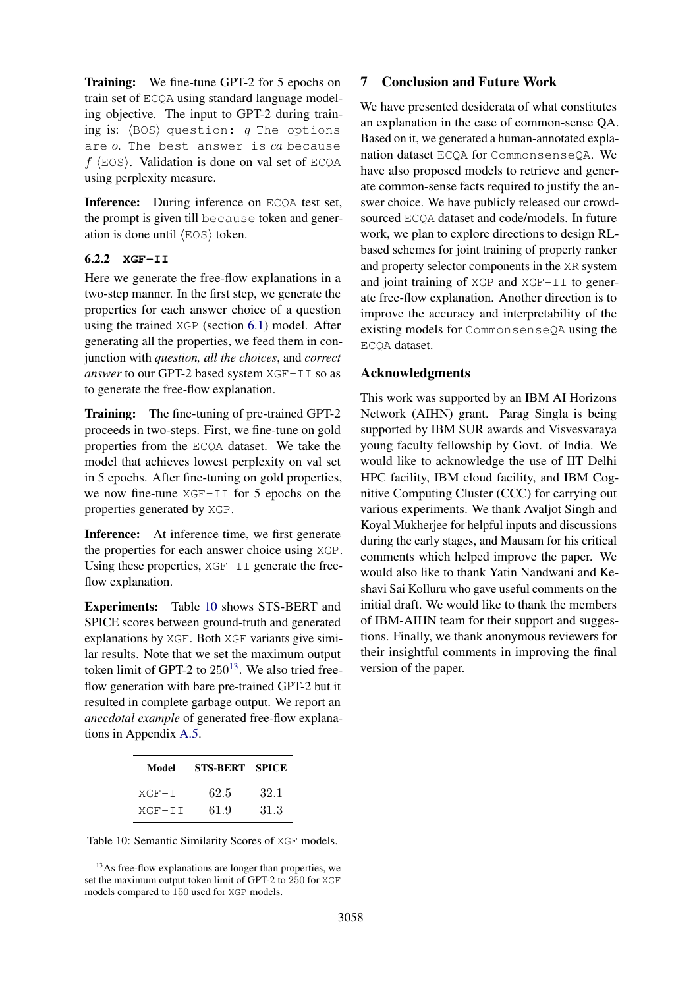Training: We fine-tune GPT-2 for 5 epochs on train set of ECQA using standard language modeling objective. The input to GPT-2 during training is:  $\langle BOS \rangle$  question: q The options are  $o$ . The best answer is  $ca$  because  $f$  (EOS). Validation is done on val set of ECQA using perplexity measure.

Inference: During inference on ECQA test set, the prompt is given till because token and generation is done until  $\langle EOS \rangle$  token.

# 6.2.2 **XGF-II**

Here we generate the free-flow explanations in a two-step manner. In the first step, we generate the properties for each answer choice of a question using the trained XGP (section [6.1\)](#page-7-2) model. After generating all the properties, we feed them in conjunction with *question, all the choices*, and *correct answer* to our GPT-2 based system XGF-II so as to generate the free-flow explanation.

Training: The fine-tuning of pre-trained GPT-2 proceeds in two-steps. First, we fine-tune on gold properties from the ECQA dataset. We take the model that achieves lowest perplexity on val set in 5 epochs. After fine-tuning on gold properties, we now fine-tune XGF-II for 5 epochs on the properties generated by XGP.

Inference: At inference time, we first generate the properties for each answer choice using XGP. Using these properties,  $XGF-TI$  generate the freeflow explanation.

Experiments: Table [10](#page-8-0) shows STS-BERT and SPICE scores between ground-truth and generated explanations by XGF. Both XGF variants give similar results. Note that we set the maximum output token limit of GPT-2 to  $250^{13}$  $250^{13}$  $250^{13}$ . We also tried freeflow generation with bare pre-trained GPT-2 but it resulted in complete garbage output. We report an *anecdotal example* of generated free-flow explanations in Appendix [A.5.](#page-13-2)

<span id="page-8-0"></span>

| Model    | STS-BERT SPICE |      |
|----------|----------------|------|
| $XGF-T$  | 62.5           | 32-1 |
| $XGF-TT$ | 61.9           | 31.3 |

Table 10: Semantic Similarity Scores of XGF models.

# 7 Conclusion and Future Work

We have presented desiderata of what constitutes an explanation in the case of common-sense QA. Based on it, we generated a human-annotated explanation dataset ECQA for CommonsenseQA. We have also proposed models to retrieve and generate common-sense facts required to justify the answer choice. We have publicly released our crowdsourced ECQA dataset and code/models. In future work, we plan to explore directions to design RLbased schemes for joint training of property ranker and property selector components in the XR system and joint training of XGP and XGF-II to generate free-flow explanation. Another direction is to improve the accuracy and interpretability of the existing models for CommonsenseQA using the ECQA dataset.

# Acknowledgments

This work was supported by an IBM AI Horizons Network (AIHN) grant. Parag Singla is being supported by IBM SUR awards and Visvesvaraya young faculty fellowship by Govt. of India. We would like to acknowledge the use of IIT Delhi HPC facility, IBM cloud facility, and IBM Cognitive Computing Cluster (CCC) for carrying out various experiments. We thank Avaljot Singh and Koyal Mukherjee for helpful inputs and discussions during the early stages, and Mausam for his critical comments which helped improve the paper. We would also like to thank Yatin Nandwani and Keshavi Sai Kolluru who gave useful comments on the initial draft. We would like to thank the members of IBM-AIHN team for their support and suggestions. Finally, we thank anonymous reviewers for their insightful comments in improving the final version of the paper.

<span id="page-8-1"></span><sup>&</sup>lt;sup>13</sup>As free-flow explanations are longer than properties, we set the maximum output token limit of GPT-2 to 250 for XGF models compared to 150 used for XGP models.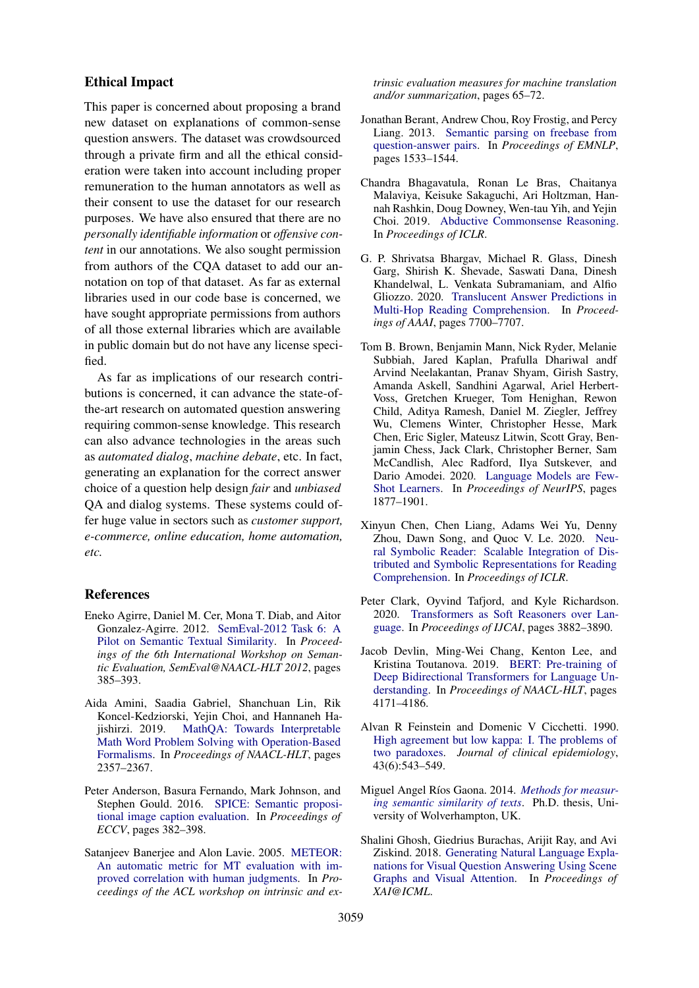### Ethical Impact

This paper is concerned about proposing a brand new dataset on explanations of common-sense question answers. The dataset was crowdsourced through a private firm and all the ethical consideration were taken into account including proper remuneration to the human annotators as well as their consent to use the dataset for our research purposes. We have also ensured that there are no *personally identifiable information* or *offensive content* in our annotations. We also sought permission from authors of the CQA dataset to add our annotation on top of that dataset. As far as external libraries used in our code base is concerned, we have sought appropriate permissions from authors of all those external libraries which are available in public domain but do not have any license specified.

As far as implications of our research contributions is concerned, it can advance the state-ofthe-art research on automated question answering requiring common-sense knowledge. This research can also advance technologies in the areas such as *automated dialog*, *machine debate*, etc. In fact, generating an explanation for the correct answer choice of a question help design *fair* and *unbiased* QA and dialog systems. These systems could offer huge value in sectors such as *customer support, e-commerce, online education, home automation, etc.*

### References

- <span id="page-9-10"></span>Eneko Agirre, Daniel M. Cer, Mona T. Diab, and Aitor Gonzalez-Agirre. 2012. [SemEval-2012 Task 6: A](https://www.aclweb.org/anthology/S12-1051/) [Pilot on Semantic Textual Similarity.](https://www.aclweb.org/anthology/S12-1051/) In *Proceedings of the 6th International Workshop on Semantic Evaluation, SemEval@NAACL-HLT 2012*, pages 385–393.
- <span id="page-9-2"></span>Aida Amini, Saadia Gabriel, Shanchuan Lin, Rik Koncel-Kedziorski, Yejin Choi, and Hannaneh Hajishirzi. 2019. [MathQA: Towards Interpretable](https://doi.org/10.18653/v1/N19-1245) [Math Word Problem Solving with Operation-Based](https://doi.org/10.18653/v1/N19-1245) [Formalisms.](https://doi.org/10.18653/v1/N19-1245) In *Proceedings of NAACL-HLT*, pages 2357–2367.
- <span id="page-9-12"></span>Peter Anderson, Basura Fernando, Mark Johnson, and Stephen Gould. 2016. [SPICE: Semantic proposi](https://arxiv.org/abs/1607.08822)[tional image caption evaluation.](https://arxiv.org/abs/1607.08822) In *Proceedings of ECCV*, pages 382–398.
- <span id="page-9-13"></span>Satanjeev Banerjee and Alon Lavie. 2005. [METEOR:](https://www.aclweb.org/anthology/W05-0909) [An automatic metric for MT evaluation with im](https://www.aclweb.org/anthology/W05-0909)[proved correlation with human judgments.](https://www.aclweb.org/anthology/W05-0909) In *Proceedings of the ACL workshop on intrinsic and ex-*

*trinsic evaluation measures for machine translation and/or summarization*, pages 65–72.

- <span id="page-9-5"></span>Jonathan Berant, Andrew Chou, Roy Frostig, and Percy Liang. 2013. [Semantic parsing on freebase from](https://www.aclweb.org/anthology/D13-1160) [question-answer pairs.](https://www.aclweb.org/anthology/D13-1160) In *Proceedings of EMNLP*, pages 1533–1544.
- <span id="page-9-8"></span>Chandra Bhagavatula, Ronan Le Bras, Chaitanya Malaviya, Keisuke Sakaguchi, Ari Holtzman, Hannah Rashkin, Doug Downey, Wen-tau Yih, and Yejin Choi. 2019. [Abductive Commonsense Reasoning.](https://openreview.net/pdf/48fb3337a97a1f5f932d55dcebbbadf13ff197e8.pdf) In *Proceedings of ICLR*.
- <span id="page-9-3"></span>G. P. Shrivatsa Bhargav, Michael R. Glass, Dinesh Garg, Shirish K. Shevade, Saswati Dana, Dinesh Khandelwal, L. Venkata Subramaniam, and Alfio Gliozzo. 2020. [Translucent Answer Predictions in](https://doi.org/10.1609/aaai.v34i05.6272) [Multi-Hop Reading Comprehension.](https://doi.org/10.1609/aaai.v34i05.6272) In *Proceedings of AAAI*, pages 7700–7707.
- <span id="page-9-1"></span>Tom B. Brown, Benjamin Mann, Nick Ryder, Melanie Subbiah, Jared Kaplan, Prafulla Dhariwal andf Arvind Neelakantan, Pranav Shyam, Girish Sastry, Amanda Askell, Sandhini Agarwal, Ariel Herbert-Voss, Gretchen Krueger, Tom Henighan, Rewon Child, Aditya Ramesh, Daniel M. Ziegler, Jeffrey Wu, Clemens Winter, Christopher Hesse, Mark Chen, Eric Sigler, Mateusz Litwin, Scott Gray, Benjamin Chess, Jack Clark, Christopher Berner, Sam McCandlish, Alec Radford, Ilya Sutskever, and Dario Amodei. 2020. [Language Models are Few-](https://proceedings.neurips.cc/paper/2020/file/1457c0d6bfcb4967418bfb8ac142f64a-Paper.pdf)[Shot Learners.](https://proceedings.neurips.cc/paper/2020/file/1457c0d6bfcb4967418bfb8ac142f64a-Paper.pdf) In *Proceedings of NeurIPS*, pages 1877–1901.
- <span id="page-9-4"></span>Xinyun Chen, Chen Liang, Adams Wei Yu, Denny Zhou, Dawn Song, and Quoc V. Le. 2020. [Neu](https://openreview.net/pdf?id=ryxjnREFwH)[ral Symbolic Reader: Scalable Integration of Dis](https://openreview.net/pdf?id=ryxjnREFwH)[tributed and Symbolic Representations for Reading](https://openreview.net/pdf?id=ryxjnREFwH) [Comprehension.](https://openreview.net/pdf?id=ryxjnREFwH) In *Proceedings of ICLR*.
- <span id="page-9-7"></span>Peter Clark, Oyvind Tafjord, and Kyle Richardson. 2020. [Transformers as Soft Reasoners over Lan](https://doi.org/10.24963/ijcai.2020/537)[guage.](https://doi.org/10.24963/ijcai.2020/537) In *Proceedings of IJCAI*, pages 3882–3890.
- <span id="page-9-0"></span>Jacob Devlin, Ming-Wei Chang, Kenton Lee, and Kristina Toutanova. 2019. [BERT: Pre-training of](https://doi.org/10.18653/v1/N19-1423) [Deep Bidirectional Transformers for Language Un](https://doi.org/10.18653/v1/N19-1423)[derstanding.](https://doi.org/10.18653/v1/N19-1423) In *Proceedings of NAACL-HLT*, pages 4171–4186.
- <span id="page-9-11"></span>Alvan R Feinstein and Domenic V Cicchetti. 1990. [High agreement but low kappa: I. The problems of](https://pubmed.ncbi.nlm.nih.gov/2348207/) [two paradoxes.](https://pubmed.ncbi.nlm.nih.gov/2348207/) *Journal of clinical epidemiology*, 43(6):543–549.
- <span id="page-9-9"></span>Miguel Angel Ríos Gaona. 2014. [Methods for measur](http://hdl.handle.net/2436/346894)*[ing semantic similarity of texts](http://hdl.handle.net/2436/346894)*. Ph.D. thesis, University of Wolverhampton, UK.
- <span id="page-9-6"></span>Shalini Ghosh, Giedrius Burachas, Arijit Ray, and Avi Ziskind. 2018. [Generating Natural Language Expla](https://arxiv.org/abs/1902.05715)[nations for Visual Question Answering Using Scene](https://arxiv.org/abs/1902.05715) [Graphs and Visual Attention.](https://arxiv.org/abs/1902.05715) In *Proceedings of XAI@ICML*.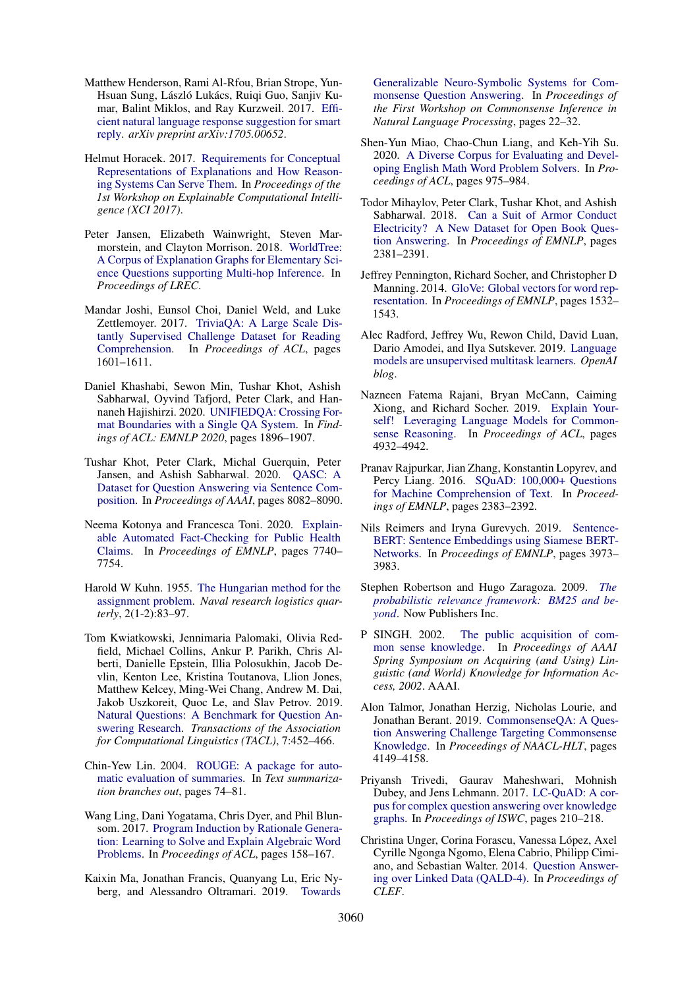- <span id="page-10-17"></span>Matthew Henderson, Rami Al-Rfou, Brian Strope, Yun-Hsuan Sung, László Lukács, Ruigi Guo, Sanjiv Kumar, Balint Miklos, and Ray Kurzweil. 2017. [Effi](https://arxiv.org/abs/1705.00652)[cient natural language response suggestion for smart](https://arxiv.org/abs/1705.00652) [reply.](https://arxiv.org/abs/1705.00652) *arXiv preprint arXiv:1705.00652*.
- <span id="page-10-5"></span>Helmut Horacek. 2017. [Requirements for Conceptual](https://doi.org/10.18653/v1/W17-3703) [Representations of Explanations and How Reason](https://doi.org/10.18653/v1/W17-3703)[ing Systems Can Serve Them.](https://doi.org/10.18653/v1/W17-3703) In *Proceedings of the 1st Workshop on Explainable Computational Intelligence (XCI 2017)*.
- <span id="page-10-4"></span>Peter Jansen, Elizabeth Wainwright, Steven Marmorstein, and Clayton Morrison. 2018. [WorldTree:](https://www.aclweb.org/anthology/L18-1433) [A Corpus of Explanation Graphs for Elementary Sci](https://www.aclweb.org/anthology/L18-1433)[ence Questions supporting Multi-hop Inference.](https://www.aclweb.org/anthology/L18-1433) In *Proceedings of LREC*.
- <span id="page-10-8"></span>Mandar Joshi, Eunsol Choi, Daniel Weld, and Luke Zettlemoyer. 2017. [TriviaQA: A Large Scale Dis](https://doi.org/10.18653/v1/P17-1147)[tantly Supervised Challenge Dataset for Reading](https://doi.org/10.18653/v1/P17-1147) [Comprehension.](https://doi.org/10.18653/v1/P17-1147) In *Proceedings of ACL*, pages 1601–1611.
- <span id="page-10-15"></span>Daniel Khashabi, Sewon Min, Tushar Khot, Ashish Sabharwal, Oyvind Tafjord, Peter Clark, and Hannaneh Hajishirzi. 2020. [UNIFIEDQA: Crossing For](https://doi.org/10.18653/v1/2020.findings-emnlp.171)[mat Boundaries with a Single QA System.](https://doi.org/10.18653/v1/2020.findings-emnlp.171) In *Findings of ACL: EMNLP 2020*, pages 1896–1907.
- <span id="page-10-12"></span>Tushar Khot, Peter Clark, Michal Guerquin, Peter Jansen, and Ashish Sabharwal. 2020. [QASC: A](https://doi.org/10.1609/aaai.v34i05.6319) [Dataset for Question Answering via Sentence Com](https://doi.org/10.1609/aaai.v34i05.6319)[position.](https://doi.org/10.1609/aaai.v34i05.6319) In *Proceedings of AAAI*, pages 8082–8090.
- <span id="page-10-13"></span>Neema Kotonya and Francesca Toni. 2020. [Explain](https://doi.org/10.18653/v1/2020.emnlp-main.623)[able Automated Fact-Checking for Public Health](https://doi.org/10.18653/v1/2020.emnlp-main.623) [Claims.](https://doi.org/10.18653/v1/2020.emnlp-main.623) In *Proceedings of EMNLP*, pages 7740– 7754.
- <span id="page-10-21"></span>Harold W Kuhn. 1955. [The Hungarian method for the](https://onlinelibrary.wiley.com/doi/abs/10.1002/nav.3800020109) [assignment problem.](https://onlinelibrary.wiley.com/doi/abs/10.1002/nav.3800020109) *Naval research logistics quarterly*, 2(1-2):83–97.
- <span id="page-10-2"></span>Tom Kwiatkowski, Jennimaria Palomaki, Olivia Redfield, Michael Collins, Ankur P. Parikh, Chris Alberti, Danielle Epstein, Illia Polosukhin, Jacob Devlin, Kenton Lee, Kristina Toutanova, Llion Jones, Matthew Kelcey, Ming-Wei Chang, Andrew M. Dai, Jakob Uszkoreit, Quoc Le, and Slav Petrov. 2019. [Natural Questions: A Benchmark for Question An](https://doi.org/10.1162/tacl_a_00276)[swering Research.](https://doi.org/10.1162/tacl_a_00276) *Transactions of the Association for Computational Linguistics (TACL)*, 7:452–466.
- <span id="page-10-20"></span>Chin-Yew Lin. 2004. [ROUGE: A package for auto](https://www.aclweb.org/anthology/W04-1013)[matic evaluation of summaries.](https://www.aclweb.org/anthology/W04-1013) In *Text summarization branches out*, pages 74–81.
- <span id="page-10-7"></span>Wang Ling, Dani Yogatama, Chris Dyer, and Phil Blunsom. 2017. [Program Induction by Rationale Genera](https://doi.org/10.18653/v1/P17-1015)[tion: Learning to Solve and Explain Algebraic Word](https://doi.org/10.18653/v1/P17-1015) [Problems.](https://doi.org/10.18653/v1/P17-1015) In *Proceedings of ACL*, pages 158–167.
- <span id="page-10-14"></span>Kaixin Ma, Jonathan Francis, Quanyang Lu, Eric Nyberg, and Alessandro Oltramari. 2019. [Towards](https://doi.org/10.18653/v1/D19-6003)

[Generalizable Neuro-Symbolic Systems for Com](https://doi.org/10.18653/v1/D19-6003)[monsense Question Answering.](https://doi.org/10.18653/v1/D19-6003) In *Proceedings of the First Workshop on Commonsense Inference in Natural Language Processing*, pages 22–32.

- <span id="page-10-10"></span>Shen-Yun Miao, Chao-Chun Liang, and Keh-Yih Su. 2020. [A Diverse Corpus for Evaluating and Devel](https://doi.org/10.18653/v1/2020.acl-main.92)[oping English Math Word Problem Solvers.](https://doi.org/10.18653/v1/2020.acl-main.92) In *Proceedings of ACL*, pages 975–984.
- <span id="page-10-11"></span>Todor Mihaylov, Peter Clark, Tushar Khot, and Ashish Sabharwal. 2018. [Can a Suit of Armor Conduct](https://doi.org/10.18653/v1/D18-1260) [Electricity? A New Dataset for Open Book Ques](https://doi.org/10.18653/v1/D18-1260)[tion Answering.](https://doi.org/10.18653/v1/D18-1260) In *Proceedings of EMNLP*, pages 2381–2391.
- <span id="page-10-18"></span>Jeffrey Pennington, Richard Socher, and Christopher D Manning. 2014. [GloVe: Global vectors for word rep](https://doi.org/10.3115/v1/D14-1162)[resentation.](https://doi.org/10.3115/v1/D14-1162) In *Proceedings of EMNLP*, pages 1532– 1543.
- <span id="page-10-23"></span>Alec Radford, Jeffrey Wu, Rewon Child, David Luan, Dario Amodei, and Ilya Sutskever. 2019. [Language](https://d4mucfpksywv.cloudfront.net/better-language-models/language_models_are_unsupervised_multitask_learners.pdf) [models are unsupervised multitask learners.](https://d4mucfpksywv.cloudfront.net/better-language-models/language_models_are_unsupervised_multitask_learners.pdf) *OpenAI blog*.
- <span id="page-10-3"></span>Nazneen Fatema Rajani, Bryan McCann, Caiming Xiong, and Richard Socher. 2019. [Explain Your](https://doi.org/10.18653/v1/P19-1487)[self! Leveraging Language Models for Common](https://doi.org/10.18653/v1/P19-1487)[sense Reasoning.](https://doi.org/10.18653/v1/P19-1487) In *Proceedings of ACL*, pages 4932–4942.
- <span id="page-10-1"></span>Pranav Rajpurkar, Jian Zhang, Konstantin Lopyrev, and Percy Liang. 2016. [SQuAD: 100,000+ Questions](https://doi.org/10.18653/v1/D16-1264) [for Machine Comprehension of Text.](https://doi.org/10.18653/v1/D16-1264) In *Proceedings of EMNLP*, pages 2383–2392.
- <span id="page-10-16"></span>Nils Reimers and Iryna Gurevych. 2019. [Sentence-](https://doi.org/10.18653/v1/D19-1410)[BERT: Sentence Embeddings using Siamese BERT-](https://doi.org/10.18653/v1/D19-1410)[Networks.](https://doi.org/10.18653/v1/D19-1410) In *Proceedings of EMNLP*, pages 3973– 3983.
- <span id="page-10-22"></span>Stephen Robertson and Hugo Zaragoza. 2009. *[The](https://doi.org/10.1561/1500000019) [probabilistic relevance framework: BM25 and be](https://doi.org/10.1561/1500000019)[yond](https://doi.org/10.1561/1500000019)*. Now Publishers Inc.
- <span id="page-10-19"></span>P SINGH. 2002. [The public acquisition of com](https://aaaipress.org/Papers/Symposia/Spring/2002/SS-02-09/SS02-09-011.pdf)[mon sense knowledge.](https://aaaipress.org/Papers/Symposia/Spring/2002/SS-02-09/SS02-09-011.pdf) In *Proceedings of AAAI Spring Symposium on Acquiring (and Using) Linguistic (and World) Knowledge for Information Access, 2002*. AAAI.
- <span id="page-10-0"></span>Alon Talmor, Jonathan Herzig, Nicholas Lourie, and Jonathan Berant. 2019. [CommonsenseQA: A Ques](https://doi.org/10.18653/v1/N19-1421)[tion Answering Challenge Targeting Commonsense](https://doi.org/10.18653/v1/N19-1421) [Knowledge.](https://doi.org/10.18653/v1/N19-1421) In *Proceedings of NAACL-HLT*, pages 4149–4158.
- <span id="page-10-9"></span>Priyansh Trivedi, Gaurav Maheshwari, Mohnish Dubey, and Jens Lehmann. 2017. [LC-QuAD: A cor](https://jens-lehmann.org/files/2017/iswc_lcquad.pdf)[pus for complex question answering over knowledge](https://jens-lehmann.org/files/2017/iswc_lcquad.pdf) [graphs.](https://jens-lehmann.org/files/2017/iswc_lcquad.pdf) In *Proceedings of ISWC*, pages 210–218.
- <span id="page-10-6"></span>Christina Unger, Corina Forascu, Vanessa López, Axel Cyrille Ngonga Ngomo, Elena Cabrio, Philipp Cimiano, and Sebastian Walter. 2014. [Question Answer](http://ceur-ws.org/Vol-1391/173-CR.pdf)[ing over Linked Data \(QALD-4\).](http://ceur-ws.org/Vol-1391/173-CR.pdf) In *Proceedings of CLEF*.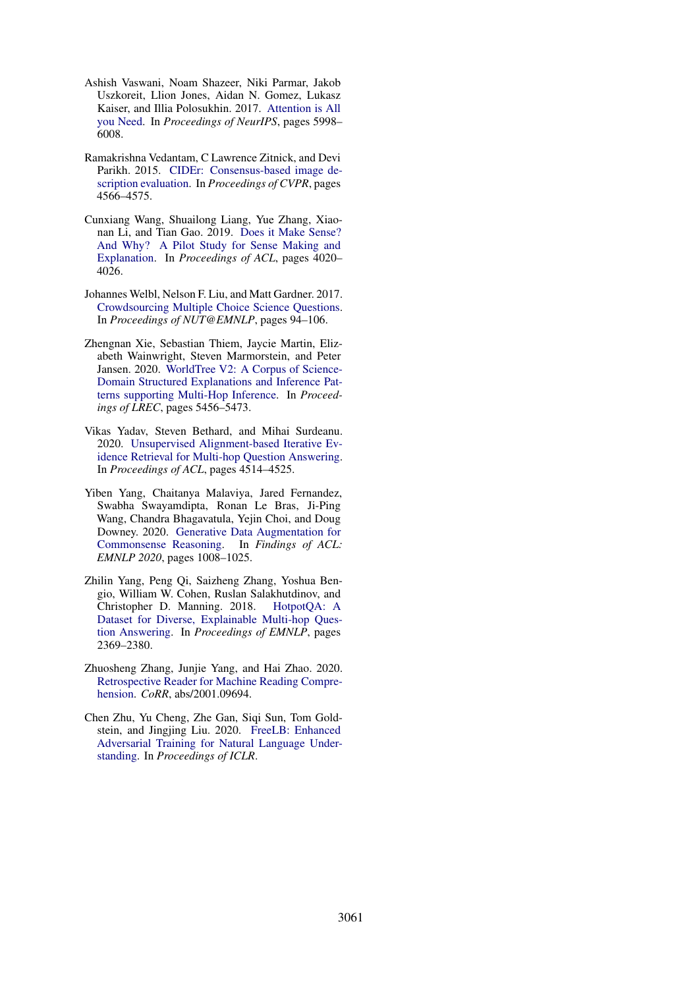- <span id="page-11-2"></span>Ashish Vaswani, Noam Shazeer, Niki Parmar, Jakob Uszkoreit, Llion Jones, Aidan N. Gomez, Lukasz Kaiser, and Illia Polosukhin. 2017. [Attention is All](https://papers.nips.cc/paper/2017/file/3f5ee243547dee91fbd053c1c4a845aa-Paper.pdf) [you Need.](https://papers.nips.cc/paper/2017/file/3f5ee243547dee91fbd053c1c4a845aa-Paper.pdf) In *Proceedings of NeurIPS*, pages 5998– 6008.
- <span id="page-11-9"></span>Ramakrishna Vedantam, C Lawrence Zitnick, and Devi Parikh. 2015. [CIDEr: Consensus-based image de](https://doi.org/10.1109/CVPR.2015.7299087)[scription evaluation.](https://doi.org/10.1109/CVPR.2015.7299087) In *Proceedings of CVPR*, pages 4566–4575.
- <span id="page-11-5"></span>Cunxiang Wang, Shuailong Liang, Yue Zhang, Xiaonan Li, and Tian Gao. 2019. [Does it Make Sense?](https://doi.org/10.18653/v1/P19-1393) [And Why? A Pilot Study for Sense Making and](https://doi.org/10.18653/v1/P19-1393) [Explanation.](https://doi.org/10.18653/v1/P19-1393) In *Proceedings of ACL*, pages 4020– 4026.
- <span id="page-11-3"></span>Johannes Welbl, Nelson F. Liu, and Matt Gardner. 2017. [Crowdsourcing Multiple Choice Science Questions.](https://doi.org/10.18653/v1/W17-4413) In *Proceedings of NUT@EMNLP*, pages 94–106.
- <span id="page-11-4"></span>Zhengnan Xie, Sebastian Thiem, Jaycie Martin, Elizabeth Wainwright, Steven Marmorstein, and Peter Jansen. 2020. [WorldTree V2: A Corpus of Science-](https://doi.org/10.1162/neco.1997.9.8.1735)[Domain Structured Explanations and Inference Pat](https://doi.org/10.1162/neco.1997.9.8.1735)[terns supporting Multi-Hop Inference.](https://doi.org/10.1162/neco.1997.9.8.1735) In *Proceedings of LREC*, pages 5456–5473.
- <span id="page-11-8"></span>Vikas Yadav, Steven Bethard, and Mihai Surdeanu. 2020. [Unsupervised Alignment-based Iterative Ev](https://doi.org/10.18653/v1/2020.acl-main.414)[idence Retrieval for Multi-hop Question Answering.](https://doi.org/10.18653/v1/2020.acl-main.414) In *Proceedings of ACL*, pages 4514–4525.
- <span id="page-11-7"></span>Yiben Yang, Chaitanya Malaviya, Jared Fernandez, Swabha Swayamdipta, Ronan Le Bras, Ji-Ping Wang, Chandra Bhagavatula, Yejin Choi, and Doug Downey. 2020. [Generative Data Augmentation for](https://doi.org/10.18653/v1/2020.findings-emnlp.90) [Commonsense Reasoning.](https://doi.org/10.18653/v1/2020.findings-emnlp.90) In *Findings of ACL: EMNLP 2020*, pages 1008–1025.
- <span id="page-11-1"></span>Zhilin Yang, Peng Qi, Saizheng Zhang, Yoshua Bengio, William W. Cohen, Ruslan Salakhutdinov, and Christopher D. Manning. 2018. [HotpotQA: A](https://doi.org/10.18653/v1/D18-1259) [Dataset for Diverse, Explainable Multi-hop Ques](https://doi.org/10.18653/v1/D18-1259)[tion Answering.](https://doi.org/10.18653/v1/D18-1259) In *Proceedings of EMNLP*, pages 2369–2380.
- <span id="page-11-0"></span>Zhuosheng Zhang, Junjie Yang, and Hai Zhao. 2020. [Retrospective Reader for Machine Reading Compre](https://arxiv.org/abs/2001.09694)[hension.](https://arxiv.org/abs/2001.09694) *CoRR*, abs/2001.09694.
- <span id="page-11-6"></span>Chen Zhu, Yu Cheng, Zhe Gan, Siqi Sun, Tom Goldstein, and Jingjing Liu. 2020. [FreeLB: Enhanced](https://openreview.net/pdf?id=BygzbyHFvB) [Adversarial Training for Natural Language Under](https://openreview.net/pdf?id=BygzbyHFvB)[standing.](https://openreview.net/pdf?id=BygzbyHFvB) In *Proceedings of ICLR*.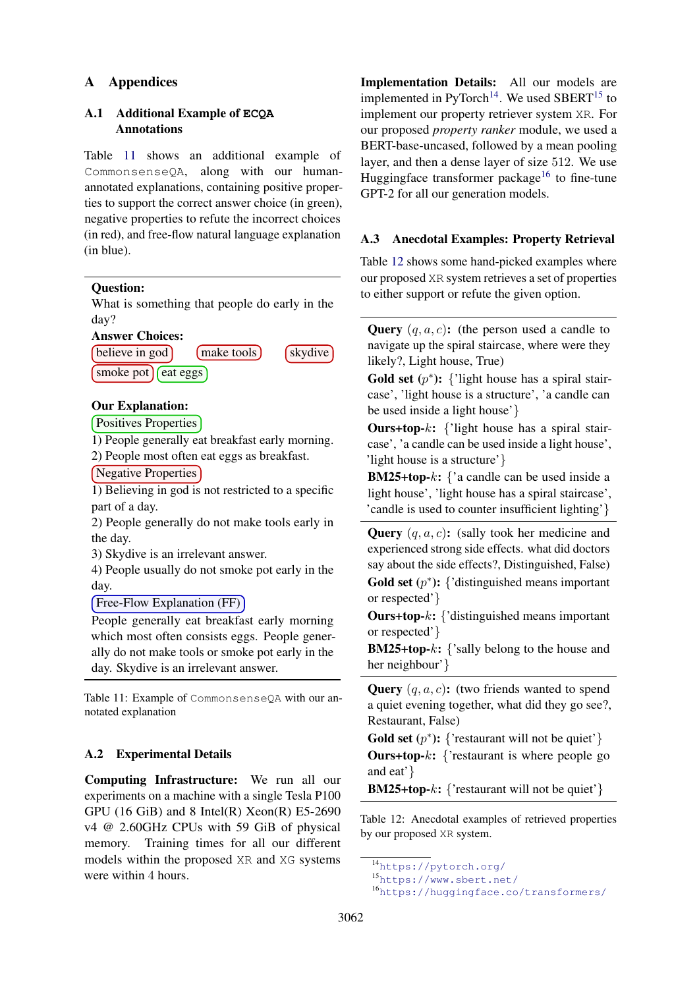## A Appendices

## A.1 Additional Example of **ECQA** Annotations

Table [11](#page-12-1) shows an additional example of CommonsenseQA, along with our humanannotated explanations, containing positive properties to support the correct answer choice (in green), negative properties to refute the incorrect choices (in red), and free-flow natural language explanation (in blue).

#### <span id="page-12-1"></span>Question:

What is something that people do early in the day?



### Our Explanation:

Positives Properties

1) People generally eat breakfast early morning. 2) People most often eat eggs as breakfast.

Negative Properties

1) Believing in god is not restricted to a specific part of a day.

2) People generally do not make tools early in the day.

3) Skydive is an irrelevant answer.

4) People usually do not smoke pot early in the day.

### Free-Flow Explanation (FF)

People generally eat breakfast early morning which most often consists eggs. People generally do not make tools or smoke pot early in the day. Skydive is an irrelevant answer.

Table 11: Example of CommonsenseQA with our annotated explanation

### A.2 Experimental Details

Computing Infrastructure: We run all our experiments on a machine with a single Tesla P100 GPU (16 GiB) and 8 Intel(R)  $Xeon(R)$  E5-2690 v4 @ 2.60GHz CPUs with 59 GiB of physical memory. Training times for all our different models within the proposed XR and XG systems were within 4 hours.

Implementation Details: All our models are implemented in  $PvTorch^{14}$  $PvTorch^{14}$  $PvTorch^{14}$ . We used SBERT<sup>[15](#page-12-3)</sup> to implement our property retriever system XR. For our proposed *property ranker* module, we used a BERT-base-uncased, followed by a mean pooling layer, and then a dense layer of size 512. We use Huggingface transformer package<sup>[16](#page-12-4)</sup> to fine-tune GPT-2 for all our generation models.

### <span id="page-12-0"></span>A.3 Anecdotal Examples: Property Retrieval

Table [12](#page-12-5) shows some hand-picked examples where our proposed XR system retrieves a set of properties to either support or refute the given option.

<span id="page-12-5"></span>**Query**  $(q, a, c)$ : (the person used a candle to navigate up the spiral staircase, where were they likely?, Light house, True)

Gold set  $(p^*)$ : {'light house has a spiral staircase', 'light house is a structure', 'a candle can be used inside a light house'}

**Ours+top-** $k$ : {'light house has a spiral staircase', 'a candle can be used inside a light house', 'light house is a structure'}

**BM25+top-k:** {'a candle can be used inside a light house', 'light house has a spiral staircase', 'candle is used to counter insufficient lighting'}

**Query**  $(q, a, c)$ : (sally took her medicine and experienced strong side effects. what did doctors say about the side effects?, Distinguished, False) Gold set  $(p^*)$ : {'distinguished means important or respected'}

Ours+top-k: {'distinguished means important or respected'}

**BM25+top-k:** {'sally belong to the house and her neighbour'}

**Query**  $(q, a, c)$ : (two friends wanted to spend a quiet evening together, what did they go see?, Restaurant, False)

**Gold set**  $(p^*)$ : {'restaurant will not be quiet'}

**Ours+top-k:** {'restaurant is where people go and eat'}

**BM25+top-k:** {'restaurant will not be quiet'}

Table 12: Anecdotal examples of retrieved properties by our proposed XR system.

<span id="page-12-2"></span><sup>14</sup><https://pytorch.org/>

<span id="page-12-3"></span><sup>15</sup><https://www.sbert.net/>

<span id="page-12-4"></span><sup>16</sup><https://huggingface.co/transformers/>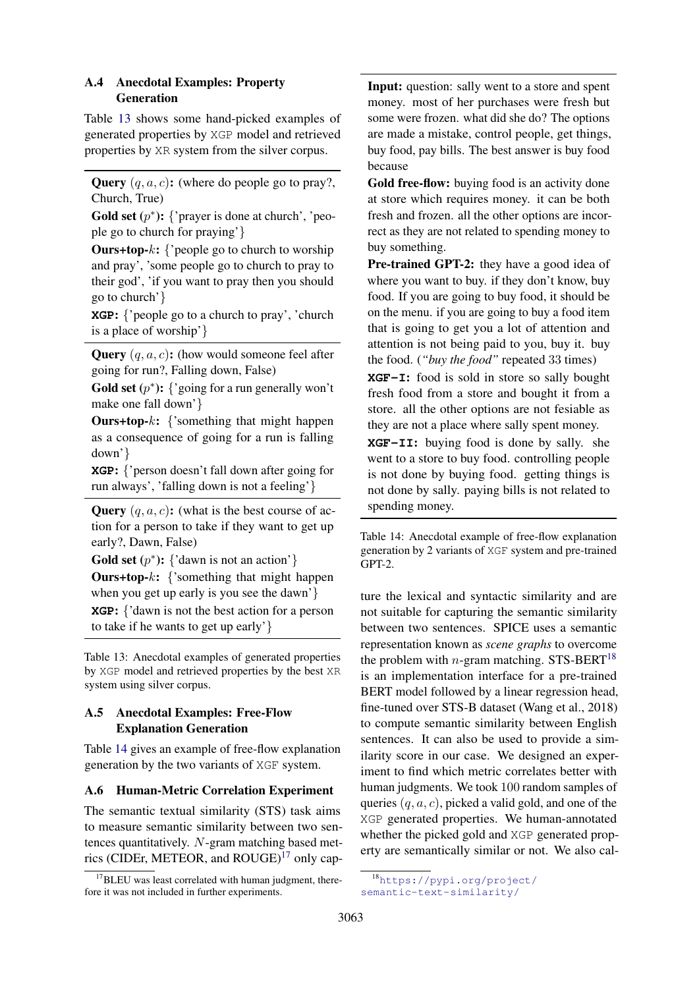### <span id="page-13-1"></span>A.4 Anecdotal Examples: Property Generation

Table [13](#page-13-3) shows some hand-picked examples of generated properties by XGP model and retrieved properties by XR system from the silver corpus.

<span id="page-13-3"></span>**Query**  $(q, a, c)$ : (where do people go to pray?, Church, True)

Gold set  $(p^*)$ : {'prayer is done at church', 'people go to church for praying'}

**Ours+top-** $k$ : {'people go to church to worship and pray', 'some people go to church to pray to their god', 'if you want to pray then you should go to church'}

**XGP**: {'people go to a church to pray', 'church is a place of worship'}

**Query**  $(q, a, c)$ : (how would someone feel after going for run?, Falling down, False)

Gold set  $(p^*)$ : {'going for a run generally won't make one fall down'}

**Ours+top-** $k$ : {'something that might happen as a consequence of going for a run is falling down'}

**XGP**: {'person doesn't fall down after going for run always', 'falling down is not a feeling'}

**Query**  $(q, a, c)$ : (what is the best course of action for a person to take if they want to get up early?, Dawn, False)

**Gold set**  $(p^*)$ : {'dawn is not an action'}

**Ours+top-k:** {'something that might happen when you get up early is you see the dawn'} **XGP**: {'dawn is not the best action for a person to take if he wants to get up early'}

Table 13: Anecdotal examples of generated properties by XGP model and retrieved properties by the best XR system using silver corpus.

### <span id="page-13-2"></span>A.5 Anecdotal Examples: Free-Flow Explanation Generation

Table [14](#page-13-4) gives an example of free-flow explanation generation by the two variants of XGF system.

### <span id="page-13-0"></span>A.6 Human-Metric Correlation Experiment

The semantic textual similarity (STS) task aims to measure semantic similarity between two sentences quantitatively.  $N$ -gram matching based metrics (CIDEr, METEOR, and  $ROUGE$ <sup>[17](#page-13-5)</sup> only cap<span id="page-13-4"></span>Input: question: sally went to a store and spent money. most of her purchases were fresh but some were frozen. what did she do? The options are made a mistake, control people, get things, buy food, pay bills. The best answer is buy food because

Gold free-flow: buying food is an activity done at store which requires money. it can be both fresh and frozen. all the other options are incorrect as they are not related to spending money to buy something.

Pre-trained GPT-2: they have a good idea of where you want to buy. if they don't know, buy food. If you are going to buy food, it should be on the menu. if you are going to buy a food item that is going to get you a lot of attention and attention is not being paid to you, buy it. buy the food. (*"buy the food"* repeated 33 times)

**XGF-I**: food is sold in store so sally bought fresh food from a store and bought it from a store. all the other options are not fesiable as they are not a place where sally spent money.

**XGF-II**: buying food is done by sally. she went to a store to buy food. controlling people is not done by buying food. getting things is not done by sally. paying bills is not related to spending money.

Table 14: Anecdotal example of free-flow explanation generation by 2 variants of XGF system and pre-trained GPT-2.

ture the lexical and syntactic similarity and are not suitable for capturing the semantic similarity between two sentences. SPICE uses a semantic representation known as *scene graphs* to overcome the problem with *n*-gram matching. STS-BERT<sup>[18](#page-13-6)</sup> is an implementation interface for a pre-trained BERT model followed by a linear regression head, fine-tuned over STS-B dataset (Wang et al., 2018) to compute semantic similarity between English sentences. It can also be used to provide a similarity score in our case. We designed an experiment to find which metric correlates better with human judgments. We took 100 random samples of queries  $(q, a, c)$ , picked a valid gold, and one of the XGP generated properties. We human-annotated whether the picked gold and XGP generated property are semantically similar or not. We also cal-

<span id="page-13-5"></span> $17$ BLEU was least correlated with human judgment, therefore it was not included in further experiments.

<span id="page-13-6"></span><sup>18</sup>[https://pypi.org/project/](https://pypi.org/project/semantic-text-similarity/) [semantic-text-similarity/](https://pypi.org/project/semantic-text-similarity/)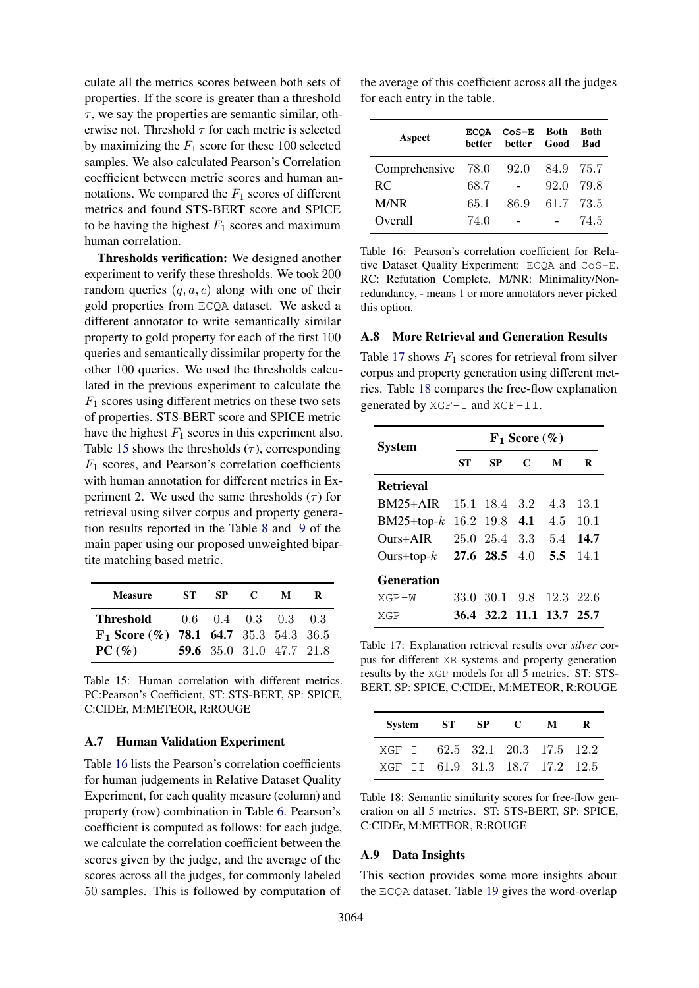culate all the metrics scores between both sets of properties. If the score is greater than a threshold  $\tau$ , we say the properties are semantic similar, otherwise not. Threshold  $\tau$  for each metric is selected by maximizing the  $F_1$  score for these 100 selected samples. We also calculated Pearson's Correlation coefficient between metric scores and human annotations. We compared the  $F_1$  scores of different metrics and found STS-BERT score and SPICE to be having the highest  $F_1$  scores and maximum human correlation.

Thresholds verification: We designed another experiment to verify these thresholds. We took 200 random queries  $(q, a, c)$  along with one of their gold properties from ECQA dataset. We asked a different annotator to write semantically similar property to gold property for each of the first 100 queries and semantically dissimilar property for the other 100 queries. We used the thresholds calculated in the previous experiment to calculate the  $F_1$  scores using different metrics on these two sets of properties. STS-BERT score and SPICE metric have the highest  $F_1$  scores in this experiment also. Table [15](#page-14-3) shows the thresholds  $(\tau)$ , corresponding  $F_1$  scores, and Pearson's correlation coefficients with human annotation for different metrics in Experiment 2. We used the same thresholds  $(\tau)$  for retrieval using silver corpus and property generation results reported in the Table [8](#page-7-0) and [9](#page-7-1) of the main paper using our proposed unweighted bipartite matching based metric.

<span id="page-14-3"></span>

| <b>Measure</b>                                    | ST - | SP. | $\mathbf C$              | M | R |
|---------------------------------------------------|------|-----|--------------------------|---|---|
| <b>Threshold</b> $0.6 \t0.4 \t0.3 \t0.3 \t0.3$    |      |     |                          |   |   |
| $\mathbf{F}_1$ Score (%) 78.1 64.7 35.3 54.3 36.5 |      |     |                          |   |   |
| PC(%)                                             |      |     | 59.6 35.0 31.0 47.7 21.8 |   |   |

Table 15: Human correlation with different metrics. PC:Pearson's Coefficient, ST: STS-BERT, SP: SPICE, C:CIDEr, M:METEOR, R:ROUGE

#### <span id="page-14-1"></span>A.7 Human Validation Experiment

Table [16](#page-14-4) lists the Pearson's correlation coefficients for human judgements in Relative Dataset Quality Experiment, for each quality measure (column) and property (row) combination in Table [6.](#page-4-5) Pearson's coefficient is computed as follows: for each judge, we calculate the correlation coefficient between the scores given by the judge, and the average of the scores across all the judges, for commonly labeled 50 samples. This is followed by computation of

the average of this coefficient across all the judges for each entry in the table.

<span id="page-14-4"></span>

| Aspect                  | <b>ECOA</b><br>better | $CoS-E$ Both<br>better Good |           | Both<br><b>Bad</b> |
|-------------------------|-----------------------|-----------------------------|-----------|--------------------|
| Comprehensive 78.0 92.0 |                       |                             | 84.9 75.7 |                    |
| RC                      | 68.7                  |                             | 92.0      | - 79.8             |
| M/NR                    | 65.1                  | 86.9                        | 61.7 73.5 |                    |
| Overall                 | 74.0                  |                             |           | 74.5               |

Table 16: Pearson's correlation coefficient for Relative Dataset Quality Experiment: ECQA and CoS-E. RC: Refutation Complete, M/NR: Minimality/Nonredundancy, - means 1 or more annotators never picked this option.

#### <span id="page-14-2"></span>A.8 More Retrieval and Generation Results

Table [17](#page-14-5) shows  $F_1$  scores for retrieval from silver corpus and property generation using different metrics. Table [18](#page-14-6) compares the free-flow explanation generated by  $XGF-I$  and  $XGF-II$ .

<span id="page-14-5"></span>

| System                      | $F_1$ Score $(\% )$ |                          |   |     |      |
|-----------------------------|---------------------|--------------------------|---|-----|------|
|                             | SТ                  | SP                       | C | М   | R    |
| <b>Retrieval</b>            |                     |                          |   |     |      |
| $BM25+AIR$                  |                     | 15.1 18.4 3.2            |   | 4.3 | 13.1 |
| $BM25+top-k$                |                     | $16.2$ 19.8 4.1          |   | 4.5 | 10.1 |
| $Ours + AIR$                |                     | 25.0 25.4 3.3            |   | 5.4 | 14.7 |
| Ours+top- $k$ 27.6 28.5 4.0 |                     |                          |   | 5.5 | 14.1 |
| <b>Generation</b>           |                     |                          |   |     |      |
| $XGP-W$                     |                     | 33.0 30.1 9.8 12.3 22.6  |   |     |      |
| XGP                         |                     | 36.4 32.2 11.1 13.7 25.7 |   |     |      |

Table 17: Explanation retrieval results over *silver* corpus for different XR systems and property generation results by the XGP models for all 5 metrics. ST: STS-BERT, SP: SPICE, C:CIDEr, M:METEOR, R:ROUGE

<span id="page-14-6"></span>

| System ST SP C                   |  | M | R |
|----------------------------------|--|---|---|
| $XGF-I$ 62.5 32.1 20.3 17.5 12.2 |  |   |   |
| XGF-II 61.9 31.3 18.7 17.2 12.5  |  |   |   |

Table 18: Semantic similarity scores for free-flow generation on all 5 metrics. ST: STS-BERT, SP: SPICE, C:CIDEr, M:METEOR, R:ROUGE

#### <span id="page-14-0"></span>A.9 Data Insights

This section provides some more insights about the ECQA dataset. Table [19](#page-15-0) gives the word-overlap